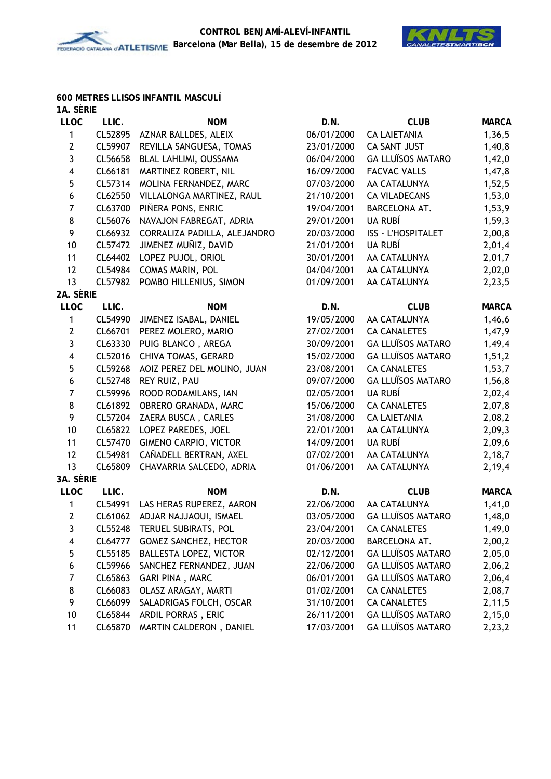

#### **600 METRES LLISOS INFANTIL MASCULÍ 1A. SÈRIE**

| IA. JERIE               |         |                               |            |                           |              |
|-------------------------|---------|-------------------------------|------------|---------------------------|--------------|
| <b>LLOC</b>             | LLIC.   | <b>NOM</b>                    | D.N.       | <b>CLUB</b>               | <b>MARCA</b> |
| 1                       | CL52895 | AZNAR BALLDES, ALEIX          | 06/01/2000 | <b>CA LAIETANIA</b>       | 1,36,5       |
| $\mathbf{2}$            | CL59907 | REVILLA SANGUESA, TOMAS       | 23/01/2000 | CA SANT JUST              | 1,40,8       |
| $\mathbf{3}$            | CL56658 | BLAL LAHLIMI, OUSSAMA         | 06/04/2000 | <b>GA LLUÏSOS MATARO</b>  | 1,42,0       |
| $\overline{\mathbf{4}}$ | CL66181 | MARTINEZ ROBERT, NIL          | 16/09/2000 | <b>FACVAC VALLS</b>       | 1,47,8       |
| 5                       | CL57314 | MOLINA FERNANDEZ, MARC        | 07/03/2000 | AA CATALUNYA              | 1,52,5       |
| 6                       | CL62550 | VILLALONGA MARTINEZ, RAUL     | 21/10/2001 | <b>CA VILADECANS</b>      | 1,53,0       |
| $\overline{7}$          | CL63700 | PIÑERA PONS, ENRIC            | 19/04/2001 | BARCELONA AT.             | 1,53,9       |
| 8                       | CL56076 | NAVAJON FABREGAT, ADRIA       | 29/01/2001 | UA RUBÍ                   | 1,59,3       |
| 9                       | CL66932 | CORRALIZA PADILLA, ALEJANDRO  | 20/03/2000 | <b>ISS - L'HOSPITALET</b> | 2,00,8       |
| 10                      | CL57472 | JIMENEZ MUÑIZ, DAVID          | 21/01/2001 | UA RUBÍ                   | 2,01,4       |
| 11                      | CL64402 | LOPEZ PUJOL, ORIOL            | 30/01/2001 | AA CATALUNYA              | 2,01,7       |
| 12                      | CL54984 | COMAS MARIN, POL              | 04/04/2001 | AA CATALUNYA              | 2,02,0       |
| 13                      | CL57982 | POMBO HILLENIUS, SIMON        | 01/09/2001 | AA CATALUNYA              | 2,23,5       |
| 2A. SÈRIE               |         |                               |            |                           |              |
| <b>LLOC</b>             | LLIC.   | <b>NOM</b>                    | D.N.       | <b>CLUB</b>               | <b>MARCA</b> |
| 1                       | CL54990 | JIMENEZ ISABAL, DANIEL        | 19/05/2000 | AA CATALUNYA              | 1,46,6       |
| $\mathbf{2}$            | CL66701 | PEREZ MOLERO, MARIO           | 27/02/2001 | <b>CA CANALETES</b>       | 1,47,9       |
| 3                       | CL63330 | PUIG BLANCO, AREGA            | 30/09/2001 | <b>GA LLUÏSOS MATARO</b>  | 1,49,4       |
| $\overline{\mathbf{4}}$ | CL52016 | CHIVA TOMAS, GERARD           | 15/02/2000 | <b>GA LLUÏSOS MATARO</b>  | 1, 51, 2     |
| 5                       | CL59268 | AOIZ PEREZ DEL MOLINO, JUAN   | 23/08/2001 | <b>CA CANALETES</b>       | 1,53,7       |
| 6                       | CL52748 | REY RUIZ, PAU                 | 09/07/2000 | <b>GA LLUÏSOS MATARO</b>  | 1,56,8       |
| $\overline{7}$          | CL59996 | ROOD RODAMILANS, IAN          | 02/05/2001 | UA RUBÍ                   | 2,02,4       |
| 8                       | CL61892 | OBRERO GRANADA, MARC          | 15/06/2000 | <b>CA CANALETES</b>       | 2,07,8       |
| 9                       | CL57204 | ZAERA BUSCA, CARLES           | 31/08/2000 | <b>CA LAIETANIA</b>       | 2,08,2       |
| 10                      | CL65822 | LOPEZ PAREDES, JOEL           | 22/01/2001 | AA CATALUNYA              | 2,09,3       |
| 11                      | CL57470 | <b>GIMENO CARPIO, VICTOR</b>  | 14/09/2001 | UA RUBÍ                   | 2,09,6       |
| 12                      | CL54981 | CAÑADELL BERTRAN, AXEL        | 07/02/2001 | AA CATALUNYA              | 2,18,7       |
| 13                      | CL65809 | CHAVARRIA SALCEDO, ADRIA      | 01/06/2001 | AA CATALUNYA              | 2,19,4       |
| 3A. SÈRIE               |         |                               |            |                           |              |
| <b>LLOC</b>             | LLIC.   | <b>NOM</b>                    | D.N.       | <b>CLUB</b>               | <b>MARCA</b> |
| 1                       | CL54991 | LAS HERAS RUPEREZ, AARON      | 22/06/2000 | AA CATALUNYA              | 1,41,0       |
| $\mathbf{2}$            | CL61062 | ADJAR NAJJAOUI, ISMAEL        | 03/05/2000 | <b>GA LLUÏSOS MATARO</b>  | 1,48,0       |
| 3                       | CL55248 | TERUEL SUBIRATS, POL          | 23/04/2001 | <b>CA CANALETES</b>       | 1,49,0       |
| 4                       | CL64777 | GOMEZ SANCHEZ, HECTOR         | 20/03/2000 | BARCELONA AT.             | 2,00,2       |
| 5                       | CL55185 | <b>BALLESTA LOPEZ, VICTOR</b> | 02/12/2001 | <b>GA LLUÏSOS MATARO</b>  | 2,05,0       |
| 6                       | CL59966 | SANCHEZ FERNANDEZ, JUAN       | 22/06/2000 | <b>GA LLUÏSOS MATARO</b>  | 2,06,2       |
| 7                       | CL65863 | GARI PINA, MARC               | 06/01/2001 | <b>GA LLUÏSOS MATARO</b>  | 2,06,4       |
| 8                       | CL66083 | OLASZ ARAGAY, MARTI           | 01/02/2001 | <b>CA CANALETES</b>       | 2,08,7       |
| 9                       | CL66099 | SALADRIGAS FOLCH, OSCAR       | 31/10/2001 | <b>CA CANALETES</b>       | 2,11,5       |
| 10                      | CL65844 | ARDIL PORRAS, ERIC            | 26/11/2001 | <b>GA LLUÏSOS MATARO</b>  | 2,15,0       |
| 11                      | CL65870 | MARTIN CALDERON, DANIEL       | 17/03/2001 | <b>GA LLUÏSOS MATARO</b>  | 2,23,2       |
|                         |         |                               |            |                           |              |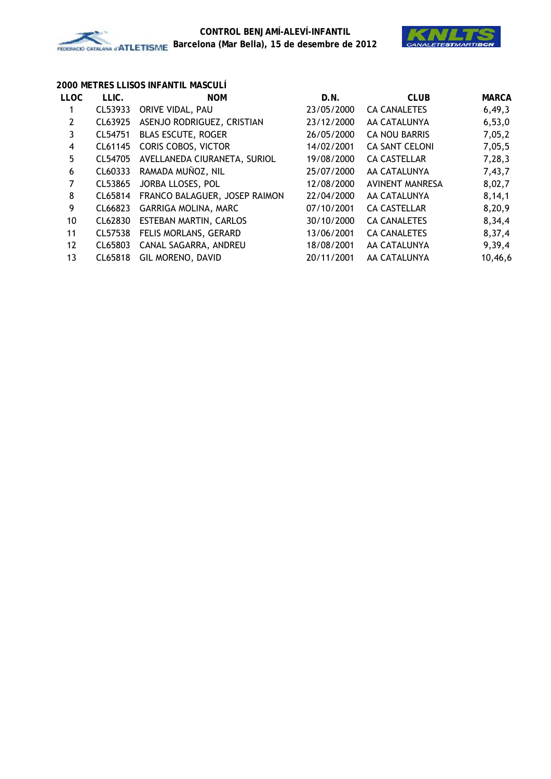

## **2000 METRES LLISOS INFANTIL MASCULÍ**

| <b>LLOC</b> | LLIC.   | <b>NOM</b>                    | D.N.       | <b>CLUB</b>           | <b>MARCA</b> |
|-------------|---------|-------------------------------|------------|-----------------------|--------------|
|             | CL53933 | ORIVE VIDAL, PAU              | 23/05/2000 | <b>CA CANALETES</b>   | 6,49,3       |
| 2           | CL63925 | ASENJO RODRIGUEZ, CRISTIAN    | 23/12/2000 | AA CATALUNYA          | 6,53,0       |
| 3           | CL54751 | <b>BLAS ESCUTE, ROGER</b>     | 26/05/2000 | CA NOU BARRIS         | 7,05,2       |
| 4           | CL61145 | <b>CORIS COBOS, VICTOR</b>    | 14/02/2001 | <b>CA SANT CELONI</b> | 7,05,5       |
| 5           | CL54705 | AVELLANEDA CIURANETA, SURIOL  | 19/08/2000 | <b>CA CASTELLAR</b>   | 7,28,3       |
| 6           | CL60333 | RAMADA MUÑOZ, NIL             | 25/07/2000 | AA CATALUNYA          | 7,43,7       |
| 7           | CL53865 | JORBA LLOSES, POL             | 12/08/2000 | AVINENT MANRESA       | 8,02,7       |
| 8           | CL65814 | FRANCO BALAGUER, JOSEP RAIMON | 22/04/2000 | AA CATALUNYA          | 8, 14, 1     |
| 9           | CL66823 | <b>GARRIGA MOLINA, MARC</b>   | 07/10/2001 | <b>CA CASTELLAR</b>   | 8,20,9       |
| 10          | CL62830 | ESTEBAN MARTIN, CARLOS        | 30/10/2000 | <b>CA CANALETES</b>   | 8,34,4       |
| 11          | CL57538 | FELIS MORLANS, GERARD         | 13/06/2001 | <b>CA CANALETES</b>   | 8,37,4       |
| 12          | CL65803 | CANAL SAGARRA, ANDREU         | 18/08/2001 | AA CATALUNYA          | 9,39,4       |
| 13          | CL65818 | GIL MORENO, DAVID             | 20/11/2001 | AA CATALUNYA          | 10,46,6      |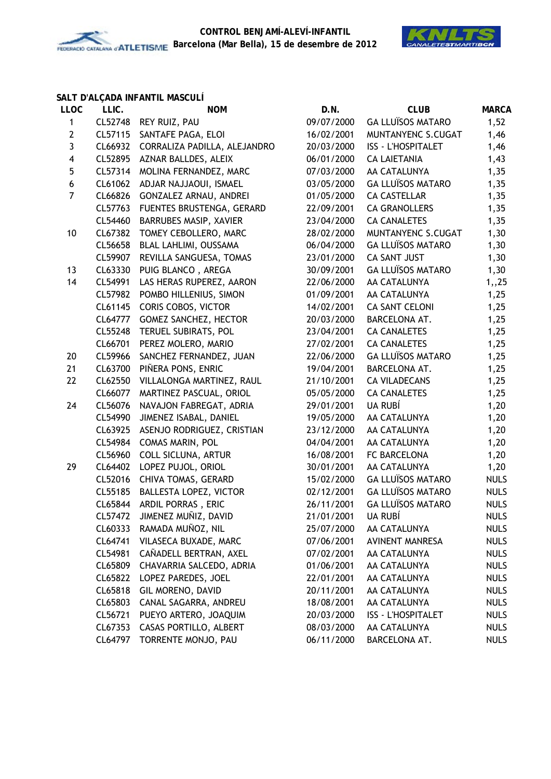



## **SALT D'ALÇADA INFANTIL MASCULÍ**

| <b>LLOC</b>             | LLIC.   | <b>NOM</b>                   | D.N.       | <b>CLUB</b>               | <b>MARCA</b> |
|-------------------------|---------|------------------------------|------------|---------------------------|--------------|
| $\mathbf{1}$            | CL52748 | REY RUIZ, PAU                | 09/07/2000 | <b>GA LLUÏSOS MATARO</b>  | 1,52         |
| $\mathbf{2}$            | CL57115 | SANTAFE PAGA, ELOI           | 16/02/2001 | MUNTANYENC S.CUGAT        | 1,46         |
| 3                       | CL66932 | CORRALIZA PADILLA, ALEJANDRO | 20/03/2000 | <b>ISS - L'HOSPITALET</b> | 1,46         |
| $\overline{\mathbf{4}}$ | CL52895 | AZNAR BALLDES, ALEIX         | 06/01/2000 | <b>CA LAIETANIA</b>       | 1,43         |
| 5                       | CL57314 | MOLINA FERNANDEZ, MARC       | 07/03/2000 | AA CATALUNYA              | 1,35         |
| $\boldsymbol{6}$        | CL61062 | ADJAR NAJJAOUI, ISMAEL       | 03/05/2000 | <b>GA LLUÏSOS MATARO</b>  | 1,35         |
| $\overline{7}$          | CL66826 | GONZALEZ ARNAU, ANDREI       | 01/05/2000 | <b>CA CASTELLAR</b>       | 1,35         |
|                         | CL57763 | FUENTES BRUSTENGA, GERARD    | 22/09/2001 | <b>CA GRANOLLERS</b>      | 1,35         |
|                         | CL54460 | BARRUBES MASIP, XAVIER       | 23/04/2000 | <b>CA CANALETES</b>       | 1,35         |
| 10                      | CL67382 | TOMEY CEBOLLERO, MARC        | 28/02/2000 | MUNTANYENC S.CUGAT        | 1,30         |
|                         | CL56658 | BLAL LAHLIMI, OUSSAMA        | 06/04/2000 | <b>GA LLUÏSOS MATARO</b>  | 1,30         |
|                         | CL59907 | REVILLA SANGUESA, TOMAS      | 23/01/2000 | <b>CA SANT JUST</b>       | 1,30         |
| 13                      | CL63330 | PUIG BLANCO, AREGA           | 30/09/2001 | <b>GA LLUÏSOS MATARO</b>  | 1,30         |
| 14                      | CL54991 | LAS HERAS RUPEREZ, AARON     | 22/06/2000 | AA CATALUNYA              | 1,25         |
|                         | CL57982 | POMBO HILLENIUS, SIMON       | 01/09/2001 | AA CATALUNYA              | 1,25         |
|                         | CL61145 | CORIS COBOS, VICTOR          | 14/02/2001 | <b>CA SANT CELONI</b>     | 1,25         |
|                         | CL64777 | <b>GOMEZ SANCHEZ, HECTOR</b> | 20/03/2000 | <b>BARCELONA AT.</b>      | 1,25         |
|                         | CL55248 | TERUEL SUBIRATS, POL         | 23/04/2001 | <b>CA CANALETES</b>       | 1,25         |
|                         | CL66701 | PEREZ MOLERO, MARIO          | 27/02/2001 | <b>CA CANALETES</b>       | 1,25         |
| 20                      | CL59966 | SANCHEZ FERNANDEZ, JUAN      | 22/06/2000 | <b>GA LLUÏSOS MATARO</b>  | 1,25         |
| 21                      | CL63700 | PIÑERA PONS, ENRIC           | 19/04/2001 | BARCELONA AT.             | 1,25         |
| 22                      | CL62550 | VILLALONGA MARTINEZ, RAUL    | 21/10/2001 | <b>CA VILADECANS</b>      | 1,25         |
|                         | CL66077 | MARTINEZ PASCUAL, ORIOL      | 05/05/2000 | <b>CA CANALETES</b>       | 1,25         |
| 24                      | CL56076 | NAVAJON FABREGAT, ADRIA      | 29/01/2001 | UA RUBÍ                   | 1,20         |
|                         | CL54990 | JIMENEZ ISABAL, DANIEL       | 19/05/2000 | AA CATALUNYA              | 1,20         |
|                         | CL63925 | ASENJO RODRIGUEZ, CRISTIAN   | 23/12/2000 | AA CATALUNYA              | 1,20         |
|                         | CL54984 | <b>COMAS MARIN, POL</b>      | 04/04/2001 | AA CATALUNYA              | 1,20         |
|                         | CL56960 | COLL SICLUNA, ARTUR          | 16/08/2001 | FC BARCELONA              | 1,20         |
| 29                      | CL64402 | LOPEZ PUJOL, ORIOL           | 30/01/2001 | AA CATALUNYA              | 1,20         |
|                         | CL52016 | CHIVA TOMAS, GERARD          | 15/02/2000 | <b>GA LLUÏSOS MATARO</b>  | <b>NULS</b>  |
|                         | CL55185 | BALLESTA LOPEZ, VICTOR       | 02/12/2001 | <b>GA LLUÏSOS MATARO</b>  | <b>NULS</b>  |
|                         | CL65844 | ARDIL PORRAS, ERIC           | 26/11/2001 | <b>GA LLUÏSOS MATARO</b>  | <b>NULS</b>  |
|                         | CL57472 | JIMENEZ MUÑIZ, DAVID         | 21/01/2001 | UA RUBÍ                   | <b>NULS</b>  |
|                         | CL60333 | RAMADA MUÑOZ, NIL            | 25/07/2000 | AA CATALUNYA              | <b>NULS</b>  |
|                         | CL64741 | VILASECA BUXADE, MARC        | 07/06/2001 | <b>AVINENT MANRESA</b>    | <b>NULS</b>  |
|                         | CL54981 | CAÑADELL BERTRAN, AXEL       | 07/02/2001 | AA CATALUNYA              | <b>NULS</b>  |
|                         | CL65809 | CHAVARRIA SALCEDO, ADRIA     | 01/06/2001 | AA CATALUNYA              | <b>NULS</b>  |
|                         | CL65822 | LOPEZ PAREDES, JOEL          | 22/01/2001 | AA CATALUNYA              | <b>NULS</b>  |
|                         | CL65818 | GIL MORENO, DAVID            | 20/11/2001 | AA CATALUNYA              | <b>NULS</b>  |
|                         | CL65803 | CANAL SAGARRA, ANDREU        | 18/08/2001 | AA CATALUNYA              | <b>NULS</b>  |
|                         | CL56721 | PUEYO ARTERO, JOAQUIM        | 20/03/2000 | <b>ISS - L'HOSPITALET</b> | <b>NULS</b>  |
|                         | CL67353 | CASAS PORTILLO, ALBERT       | 08/03/2000 | AA CATALUNYA              | <b>NULS</b>  |
|                         | CL64797 | TORRENTE MONJO, PAU          | 06/11/2000 | BARCELONA AT.             | <b>NULS</b>  |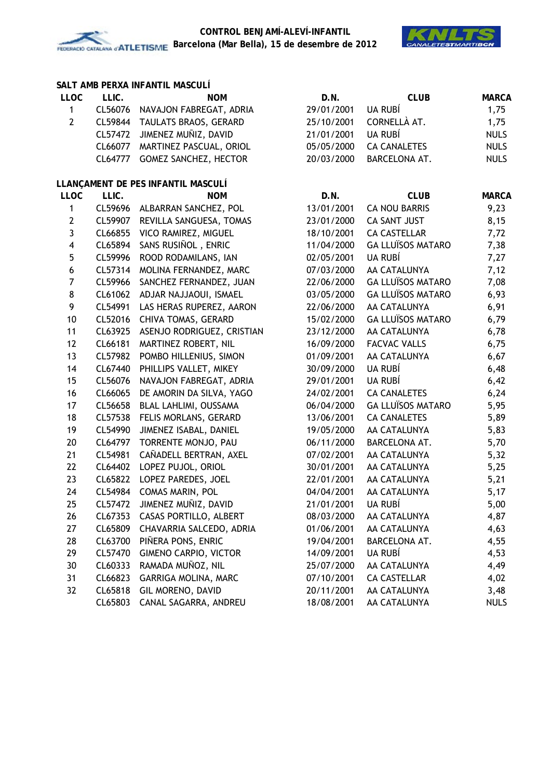



## **SALT AMB PERXA INFANTIL MASCULÍ**

| <b>LLOC</b>             | LLIC.   | <b>NOM</b>                         | D.N.       | <b>CLUB</b>              | <b>MARCA</b> |
|-------------------------|---------|------------------------------------|------------|--------------------------|--------------|
| $\mathbf{1}$            | CL56076 | NAVAJON FABREGAT, ADRIA            | 29/01/2001 | UA RUBÍ                  | 1,75         |
| $\overline{2}$          |         | CL59844 TAULATS BRAOS, GERARD      | 25/10/2001 | CORNELLÀ AT.             | 1,75         |
|                         | CL57472 | JIMENEZ MUÑIZ, DAVID               | 21/01/2001 | UA RUBÍ                  | <b>NULS</b>  |
|                         | CL66077 | MARTINEZ PASCUAL, ORIOL            | 05/05/2000 | <b>CA CANALETES</b>      | <b>NULS</b>  |
|                         | CL64777 | GOMEZ SANCHEZ, HECTOR              | 20/03/2000 | <b>BARCELONA AT.</b>     | <b>NULS</b>  |
|                         |         | LLANÇAMENT DE PES INFANTIL MASCULÍ |            |                          |              |
| <b>LLOC</b>             | LLIC.   | <b>NOM</b>                         | D.N.       | <b>CLUB</b>              | <b>MARCA</b> |
| $\mathbf{1}$            | CL59696 | ALBARRAN SANCHEZ, POL              | 13/01/2001 | <b>CA NOU BARRIS</b>     | 9,23         |
| $\mathbf{2}$            | CL59907 | REVILLA SANGUESA, TOMAS            | 23/01/2000 | CA SANT JUST             | 8,15         |
| 3                       | CL66855 | VICO RAMIREZ, MIGUEL               | 18/10/2001 | <b>CA CASTELLAR</b>      | 7,72         |
| $\overline{\mathbf{4}}$ | CL65894 | SANS RUSIÑOL, ENRIC                | 11/04/2000 | <b>GA LLUÏSOS MATARO</b> | 7,38         |
| $\overline{5}$          | CL59996 | ROOD RODAMILANS, IAN               | 02/05/2001 | UA RUBÍ                  | 7,27         |
| $\boldsymbol{6}$        | CL57314 | MOLINA FERNANDEZ, MARC             | 07/03/2000 | AA CATALUNYA             | 7,12         |
| 7                       | CL59966 | SANCHEZ FERNANDEZ, JUAN            | 22/06/2000 | <b>GA LLUÏSOS MATARO</b> | 7,08         |
| 8                       | CL61062 | ADJAR NAJJAOUI, ISMAEL             | 03/05/2000 | <b>GA LLUÏSOS MATARO</b> | 6,93         |
| 9                       | CL54991 | LAS HERAS RUPEREZ, AARON           | 22/06/2000 | AA CATALUNYA             | 6,91         |
| 10                      | CL52016 | CHIVA TOMAS, GERARD                | 15/02/2000 | <b>GA LLUÏSOS MATARO</b> | 6,79         |
| 11                      | CL63925 | ASENJO RODRIGUEZ, CRISTIAN         | 23/12/2000 | AA CATALUNYA             | 6,78         |
| 12                      | CL66181 | MARTINEZ ROBERT, NIL               | 16/09/2000 | <b>FACVAC VALLS</b>      | 6,75         |
| 13                      | CL57982 | POMBO HILLENIUS, SIMON             | 01/09/2001 | AA CATALUNYA             | 6,67         |
| 14                      | CL67440 | PHILLIPS VALLET, MIKEY             | 30/09/2000 | UA RUBÍ                  | 6,48         |
| 15                      | CL56076 | NAVAJON FABREGAT, ADRIA            | 29/01/2001 | UA RUBÍ                  | 6,42         |
| 16                      | CL66065 | DE AMORIN DA SILVA, YAGO           | 24/02/2001 | <b>CA CANALETES</b>      | 6,24         |
| 17                      | CL56658 | BLAL LAHLIMI, OUSSAMA              | 06/04/2000 | <b>GA LLUÏSOS MATARO</b> | 5,95         |
| 18                      | CL57538 | FELIS MORLANS, GERARD              | 13/06/2001 | <b>CA CANALETES</b>      | 5,89         |
| 19                      | CL54990 | JIMENEZ ISABAL, DANIEL             | 19/05/2000 | AA CATALUNYA             | 5,83         |
| 20                      | CL64797 | TORRENTE MONJO, PAU                | 06/11/2000 | BARCELONA AT.            | 5,70         |
| 21                      | CL54981 | CAÑADELL BERTRAN, AXEL             | 07/02/2001 | AA CATALUNYA             | 5,32         |
| 22                      |         | CL64402 LOPEZ PUJOL, ORIOL         | 30/01/2001 | AA CATALUNYA             | 5,25         |
| 23                      |         | CL65822 LOPEZ PAREDES, JOEL        | 22/01/2001 | AA CATALUNYA             | 5,21         |
| 24                      | CL54984 | COMAS MARIN, POL                   | 04/04/2001 | AA CATALUNYA             | 5,17         |
| 25                      |         | CL57472 JIMENEZ MUÑIZ, DAVID       | 21/01/2001 | UA RUBÍ                  | 5,00         |
| 26                      |         | CL67353 CASAS PORTILLO, ALBERT     | 08/03/2000 | AA CATALUNYA             | 4,87         |
| 27                      |         | CL65809 CHAVARRIA SALCEDO, ADRIA   | 01/06/2001 | AA CATALUNYA             | 4,63         |
| 28                      | CL63700 | PIÑERA PONS, ENRIC                 | 19/04/2001 | BARCELONA AT.            | 4,55         |
| 29                      | CL57470 | <b>GIMENO CARPIO, VICTOR</b>       | 14/09/2001 | UA RUBÍ                  | 4,53         |
| 30                      | CL60333 | RAMADA MUÑOZ, NIL                  | 25/07/2000 | AA CATALUNYA             | 4,49         |
| 31                      | CL66823 | GARRIGA MOLINA, MARC               | 07/10/2001 | <b>CA CASTELLAR</b>      | 4,02         |
| 32                      | CL65818 | GIL MORENO, DAVID                  | 20/11/2001 | AA CATALUNYA             | 3,48         |
|                         | CL65803 | CANAL SAGARRA, ANDREU              | 18/08/2001 | AA CATALUNYA             | <b>NULS</b>  |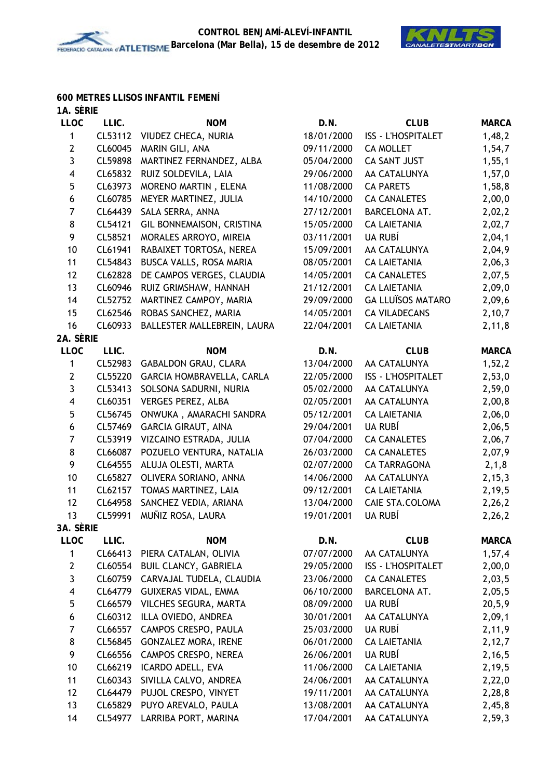

#### **600 METRES LLISOS INFANTIL FEMENÍ 1A. SÈRIE**

| IA. JENIE               |         |                              |            |                           |              |
|-------------------------|---------|------------------------------|------------|---------------------------|--------------|
| <b>LLOC</b>             | LLIC.   | <b>NOM</b>                   | D.N.       | <b>CLUB</b>               | <b>MARCA</b> |
| 1                       | CL53112 | VIUDEZ CHECA, NURIA          | 18/01/2000 | <b>ISS - L'HOSPITALET</b> | 1,48,2       |
| $\overline{2}$          | CL60045 | MARIN GILI, ANA              | 09/11/2000 | <b>CA MOLLET</b>          | 1,54,7       |
| 3                       | CL59898 | MARTINEZ FERNANDEZ, ALBA     | 05/04/2000 | <b>CA SANT JUST</b>       | 1, 55, 1     |
| $\overline{\mathbf{4}}$ | CL65832 | RUIZ SOLDEVILA, LAIA         | 29/06/2000 | AA CATALUNYA              | 1,57,0       |
| 5                       | CL63973 | MORENO MARTIN, ELENA         | 11/08/2000 | <b>CA PARETS</b>          | 1,58,8       |
| 6                       | CL60785 | MEYER MARTINEZ, JULIA        | 14/10/2000 | <b>CA CANALETES</b>       | 2,00,0       |
| 7                       | CL64439 | SALA SERRA, ANNA             | 27/12/2001 | BARCELONA AT.             | 2,02,2       |
| 8                       | CL54121 | GIL BONNEMAISON, CRISTINA    | 15/05/2000 | <b>CA LAIETANIA</b>       | 2,02,7       |
| 9                       | CL58521 | MORALES ARROYO, MIREIA       | 03/11/2001 | UA RUBÍ                   | 2,04,1       |
| 10                      | CL61941 | RABAIXET TORTOSA, NEREA      | 15/09/2001 | AA CATALUNYA              | 2,04,9       |
| 11                      | CL54843 | BUSCA VALLS, ROSA MARIA      | 08/05/2001 | <b>CA LAIETANIA</b>       | 2,06,3       |
| 12                      | CL62828 | DE CAMPOS VERGES, CLAUDIA    | 14/05/2001 | <b>CA CANALETES</b>       | 2,07,5       |
| 13                      | CL60946 | RUIZ GRIMSHAW, HANNAH        | 21/12/2001 | <b>CA LAIETANIA</b>       | 2,09,0       |
| 14                      | CL52752 | MARTINEZ CAMPOY, MARIA       | 29/09/2000 | <b>GA LLUÏSOS MATARO</b>  | 2,09,6       |
| 15                      | CL62546 | ROBAS SANCHEZ, MARIA         | 14/05/2001 | <b>CA VILADECANS</b>      | 2,10,7       |
| 16                      | CL60933 | BALLESTER MALLEBREIN, LAURA  | 22/04/2001 | <b>CA LAIETANIA</b>       | 2,11,8       |
| 2A. SÈRIE               |         |                              |            |                           |              |
| <b>LLOC</b>             | LLIC.   | <b>NOM</b>                   | D.N.       | <b>CLUB</b>               | <b>MARCA</b> |
| 1                       | CL52983 | GABALDON GRAU, CLARA         | 13/04/2000 | AA CATALUNYA              | 1,52,2       |
| $\mathbf{2}$            | CL55220 | GARCIA HOMBRAVELLA, CARLA    | 22/05/2000 | <b>ISS - L'HOSPITALET</b> | 2,53,0       |
| 3                       | CL53413 | SOLSONA SADURNI, NURIA       | 05/02/2000 | AA CATALUNYA              | 2,59,0       |
| $\overline{\mathbf{4}}$ | CL60351 | <b>VERGES PEREZ, ALBA</b>    | 02/05/2001 | AA CATALUNYA              | 2,00,8       |
| 5                       | CL56745 | ONWUKA, AMARACHI SANDRA      | 05/12/2001 | <b>CA LAIETANIA</b>       | 2,06,0       |
| $\boldsymbol{6}$        | CL57469 | <b>GARCIA GIRAUT, AINA</b>   | 29/04/2001 | UA RUBÍ                   | 2,06,5       |
| $\overline{7}$          | CL53919 | VIZCAINO ESTRADA, JULIA      | 07/04/2000 | <b>CA CANALETES</b>       | 2,06,7       |
| 8                       | CL66087 | POZUELO VENTURA, NATALIA     | 26/03/2000 | <b>CA CANALETES</b>       | 2,07,9       |
| 9                       | CL64555 | ALUJA OLESTI, MARTA          | 02/07/2000 | <b>CA TARRAGONA</b>       | 2, 1, 8      |
| 10                      | CL65827 | OLIVERA SORIANO, ANNA        | 14/06/2000 | AA CATALUNYA              | 2, 15, 3     |
| 11                      | CL62157 | TOMAS MARTINEZ, LAIA         | 09/12/2001 | <b>CA LAIETANIA</b>       | 2,19,5       |
| 12                      | CL64958 | SANCHEZ VEDIA, ARIANA        | 13/04/2000 | CAIE STA.COLOMA           | 2,26,2       |
| 13                      | CL59991 | MUÑIZ ROSA, LAURA            | 19/01/2001 | UA RUBÍ                   | 2,26,2       |
| 3A. SÈRIE               |         |                              |            |                           |              |
| <b>LLOC</b>             | LLIC.   | <b>NOM</b>                   | D.N.       | <b>CLUB</b>               | <b>MARCA</b> |
| 1                       | CL66413 | PIERA CATALAN, OLIVIA        | 07/07/2000 | AA CATALUNYA              | 1,57,4       |
| $\mathbf{2}$            | CL60554 | <b>BUIL CLANCY, GABRIELA</b> | 29/05/2000 | <b>ISS - L'HOSPITALET</b> | 2,00,0       |
| 3                       | CL60759 | CARVAJAL TUDELA, CLAUDIA     | 23/06/2000 | <b>CA CANALETES</b>       | 2,03,5       |
| $\overline{\mathbf{4}}$ | CL64779 | <b>GUIXERAS VIDAL, EMMA</b>  | 06/10/2000 | BARCELONA AT.             | 2,05,5       |
| 5                       | CL66579 | VILCHES SEGURA, MARTA        | 08/09/2000 | UA RUBÍ                   | 20, 5, 9     |
| 6                       | CL60312 | ILLA OVIEDO, ANDREA          | 30/01/2001 | AA CATALUNYA              | 2,09,1       |
| $\overline{7}$          | CL66557 | CAMPOS CRESPO, PAULA         | 25/03/2000 | UA RUBÍ                   | 2,11,9       |
| 8                       | CL56845 | GONZALEZ MORA, IRENE         | 06/01/2000 | <b>CA LAIETANIA</b>       | 2,12,7       |
| 9                       | CL66556 | CAMPOS CRESPO, NEREA         | 26/06/2001 | UA RUBÍ                   | 2, 16, 5     |
| 10                      | CL66219 | ICARDO ADELL, EVA            | 11/06/2000 | <b>CA LAIETANIA</b>       | 2,19,5       |
| 11                      | CL60343 | SIVILLA CALVO, ANDREA        | 24/06/2001 | AA CATALUNYA              | 2,22,0       |
| 12                      | CL64479 | PUJOL CRESPO, VINYET         | 19/11/2001 | AA CATALUNYA              | 2,28,8       |
| 13                      | CL65829 | PUYO AREVALO, PAULA          | 13/08/2001 | AA CATALUNYA              | 2,45,8       |
| 14                      | CL54977 | LARRIBA PORT, MARINA         | 17/04/2001 | AA CATALUNYA              | 2,59,3       |
|                         |         |                              |            |                           |              |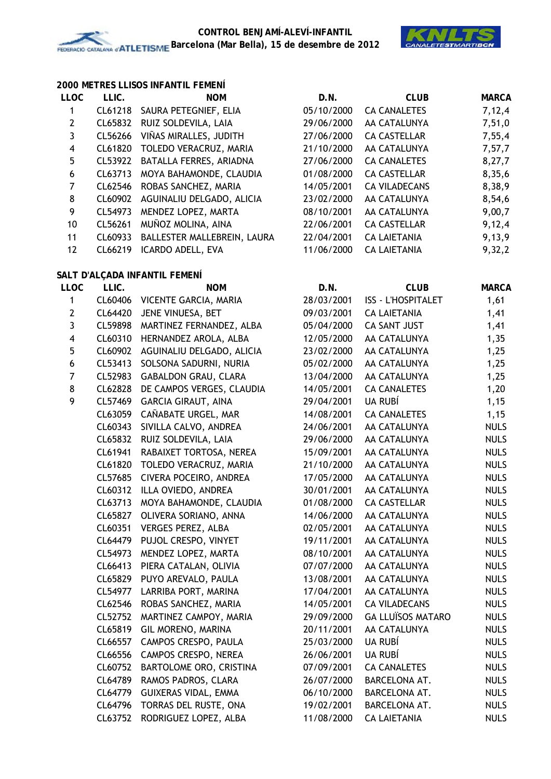

#### **2000 METRES LLISOS INFANTIL FEMENÍ**

| <b>LLOC</b> | LLIC.   | <b>NOM</b>                     | D.N.       | <b>CLUB</b>          | <b>MARCA</b> |
|-------------|---------|--------------------------------|------------|----------------------|--------------|
|             |         | CL61218 SAURA PETEGNIEF, ELIA  | 05/10/2000 | <b>CA CANALETES</b>  | 7,12,4       |
| 2           | CL65832 | RUIZ SOLDEVILA, LAIA           | 29/06/2000 | AA CATALUNYA         | 7,51,0       |
| 3           | CL56266 | VIÑAS MIRALLES, JUDITH         | 27/06/2000 | <b>CA CASTELLAR</b>  | 7,55,4       |
| 4           |         | CL61820 TOLEDO VERACRUZ, MARIA | 21/10/2000 | AA CATALUNYA         | 7,57,7       |
| 5           | CL53922 | BATALLA FERRES, ARIADNA        | 27/06/2000 | <b>CA CANALETES</b>  | 8,27,7       |
| 6           | CL63713 | MOYA BAHAMONDE, CLAUDIA        | 01/08/2000 | <b>CA CASTELLAR</b>  | 8,35,6       |
| 7           | CL62546 | ROBAS SANCHEZ, MARIA           | 14/05/2001 | <b>CA VILADECANS</b> | 8,38,9       |
| 8           | CL60902 | AGUINALIU DELGADO, ALICIA      | 23/02/2000 | AA CATALUNYA         | 8,54,6       |
| 9           | CL54973 | MENDEZ LOPEZ, MARTA            | 08/10/2001 | AA CATALUNYA         | 9,00,7       |
| 10          | CL56261 | MUÑOZ MOLINA, AINA             | 22/06/2001 | <b>CA CASTELLAR</b>  | 9,12,4       |
| 11          | CL60933 | BALLESTER MALLEBREIN, LAURA    | 22/04/2001 | <b>CA LAIETANIA</b>  | 9,13,9       |
| 12          | CL66219 | ICARDO ADELL, EVA              | 11/06/2000 | <b>CA LAIETANIA</b>  | 9,32,2       |
|             |         |                                |            |                      |              |

# **SALT D'ALÇADA INFANTIL FEMENÍ**

| <b>LLOC</b>             | LLIC.   | <b>NOM</b>                       | D.N.       | <b>CLUB</b>               | <b>MARCA</b> |
|-------------------------|---------|----------------------------------|------------|---------------------------|--------------|
| $\mathbf{1}$            | CL60406 | VICENTE GARCIA, MARIA            | 28/03/2001 | <b>ISS - L'HOSPITALET</b> | 1,61         |
| $\mathbf{2}$            | CL64420 | JENE VINUESA, BET                | 09/03/2001 | <b>CA LAIETANIA</b>       | 1,41         |
| $\overline{3}$          |         | CL59898 MARTINEZ FERNANDEZ, ALBA | 05/04/2000 | CA SANT JUST              | 1,41         |
| $\overline{\mathbf{4}}$ | CL60310 | HERNANDEZ AROLA, ALBA            | 12/05/2000 | AA CATALUNYA              | 1,35         |
| 5                       | CL60902 | AGUINALIU DELGADO, ALICIA        | 23/02/2000 | AA CATALUNYA              | 1,25         |
| $\boldsymbol{6}$        | CL53413 | SOLSONA SADURNI, NURIA           | 05/02/2000 | AA CATALUNYA              | 1,25         |
| $\overline{7}$          | CL52983 | <b>GABALDON GRAU, CLARA</b>      | 13/04/2000 | AA CATALUNYA              | 1,25         |
| 8                       | CL62828 | DE CAMPOS VERGES, CLAUDIA        | 14/05/2001 | <b>CA CANALETES</b>       | 1,20         |
| 9                       | CL57469 | <b>GARCIA GIRAUT, AINA</b>       | 29/04/2001 | UA RUBÍ                   | 1,15         |
|                         | CL63059 | CAÑABATE URGEL, MAR              | 14/08/2001 | <b>CA CANALETES</b>       | 1,15         |
|                         | CL60343 | SIVILLA CALVO, ANDREA            | 24/06/2001 | AA CATALUNYA              | <b>NULS</b>  |
|                         | CL65832 | RUIZ SOLDEVILA, LAIA             | 29/06/2000 | AA CATALUNYA              | <b>NULS</b>  |
|                         | CL61941 | RABAIXET TORTOSA, NEREA          | 15/09/2001 | AA CATALUNYA              | <b>NULS</b>  |
|                         | CL61820 | TOLEDO VERACRUZ, MARIA           | 21/10/2000 | AA CATALUNYA              | <b>NULS</b>  |
|                         | CL57685 | CIVERA POCEIRO, ANDREA           | 17/05/2000 | AA CATALUNYA              | <b>NULS</b>  |
|                         | CL60312 | ILLA OVIEDO, ANDREA              | 30/01/2001 | AA CATALUNYA              | <b>NULS</b>  |
|                         | CL63713 | MOYA BAHAMONDE, CLAUDIA          | 01/08/2000 | <b>CA CASTELLAR</b>       | <b>NULS</b>  |
|                         | CL65827 | OLIVERA SORIANO, ANNA            | 14/06/2000 | AA CATALUNYA              | <b>NULS</b>  |
|                         | CL60351 | <b>VERGES PEREZ, ALBA</b>        | 02/05/2001 | AA CATALUNYA              | <b>NULS</b>  |
|                         |         | CL64479 PUJOL CRESPO, VINYET     | 19/11/2001 | AA CATALUNYA              | <b>NULS</b>  |
|                         | CL54973 | MENDEZ LOPEZ, MARTA              | 08/10/2001 | AA CATALUNYA              | <b>NULS</b>  |
|                         | CL66413 | PIERA CATALAN, OLIVIA            | 07/07/2000 | AA CATALUNYA              | <b>NULS</b>  |
|                         |         | CL65829 PUYO AREVALO, PAULA      | 13/08/2001 | AA CATALUNYA              | <b>NULS</b>  |
|                         | CL54977 | LARRIBA PORT, MARINA             | 17/04/2001 | AA CATALUNYA              | <b>NULS</b>  |
|                         | CL62546 | ROBAS SANCHEZ, MARIA             | 14/05/2001 | <b>CA VILADECANS</b>      | <b>NULS</b>  |
|                         | CL52752 | MARTINEZ CAMPOY, MARIA           | 29/09/2000 | <b>GA LLUÏSOS MATARO</b>  | <b>NULS</b>  |
|                         | CL65819 | GIL MORENO, MARINA               | 20/11/2001 | AA CATALUNYA              | <b>NULS</b>  |
|                         | CL66557 | CAMPOS CRESPO, PAULA             | 25/03/2000 | UA RUBÍ                   | <b>NULS</b>  |
|                         | CL66556 | CAMPOS CRESPO, NEREA             | 26/06/2001 | <b>UA RUBÍ</b>            | <b>NULS</b>  |
|                         | CL60752 | BARTOLOME ORO, CRISTINA          | 07/09/2001 | <b>CA CANALETES</b>       | <b>NULS</b>  |
|                         | CL64789 | RAMOS PADROS, CLARA              | 26/07/2000 | BARCELONA AT.             | <b>NULS</b>  |
|                         | CL64779 | GUIXERAS VIDAL, EMMA             | 06/10/2000 | BARCELONA AT.             | <b>NULS</b>  |
|                         | CL64796 | TORRAS DEL RUSTE, ONA            | 19/02/2001 | BARCELONA AT.             | <b>NULS</b>  |
|                         | CL63752 | RODRIGUEZ LOPEZ, ALBA            | 11/08/2000 | <b>CA LAIETANIA</b>       | <b>NULS</b>  |
|                         |         |                                  |            |                           |              |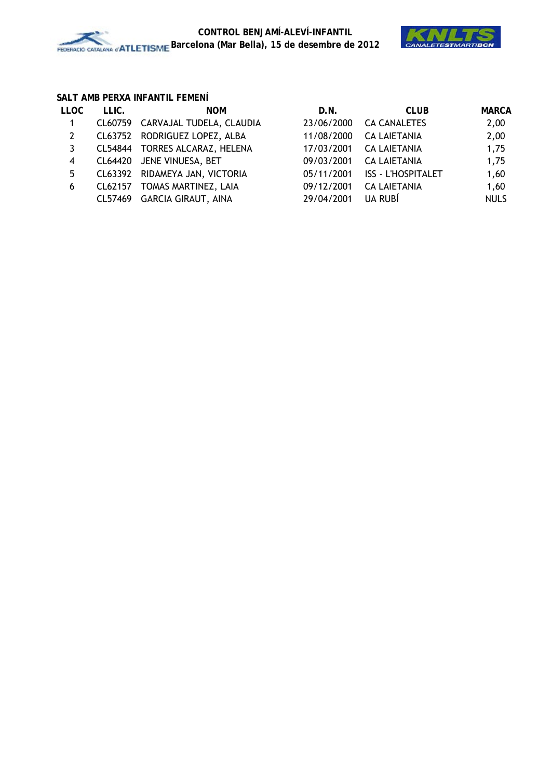

## **SALT AMB PERXA INFANTIL FEMENÍ**

| <b>LLOC</b> | LLIC. | <b>NOM</b>                       | D.N.       | <b>CLUB</b>               | <b>MARCA</b> |
|-------------|-------|----------------------------------|------------|---------------------------|--------------|
|             |       | CL60759 CARVAJAL TUDELA, CLAUDIA | 23/06/2000 | <b>CA CANALETES</b>       | 2,00         |
| 2           |       | CL63752 RODRIGUEZ LOPEZ, ALBA    | 11/08/2000 | <b>CA LAIETANIA</b>       | 2,00         |
| 3           |       | CL54844 TORRES ALCARAZ, HELENA   | 17/03/2001 | <b>CA LAIETANIA</b>       | 1,75         |
| 4           |       | CL64420 JENE VINUESA, BET        | 09/03/2001 | <b>CA LAIETANIA</b>       | 1,75         |
| 5           |       | CL63392 RIDAMEYA JAN, VICTORIA   | 05/11/2001 | <b>ISS - L'HOSPITALET</b> | 1,60         |
| 6           |       | CL62157 TOMAS MARTINEZ, LAIA     | 09/12/2001 | <b>CA LAIETANIA</b>       | 1,60         |
|             |       | CL57469 GARCIA GIRAUT, AINA      | 29/04/2001 | UA RUBÍ                   | <b>NULS</b>  |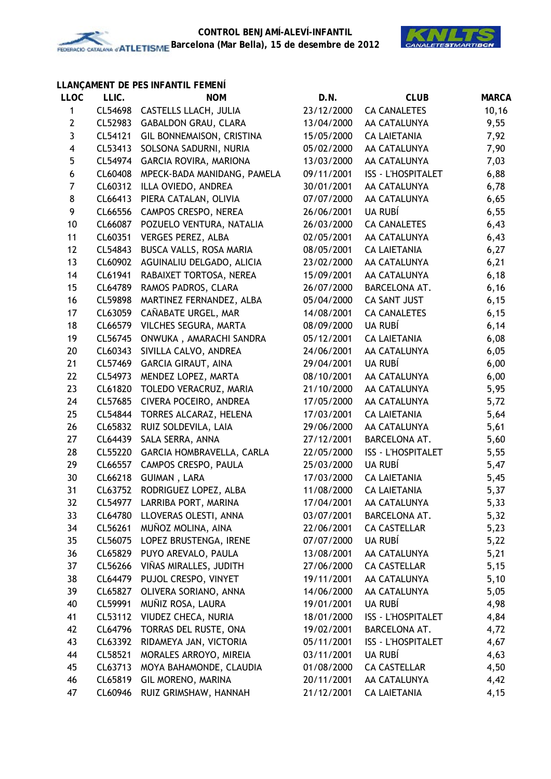

## **LLANÇAMENT DE PES INFANTIL FEMENÍ**

| <b>LLOC</b>             | LLIC.   | <b>NOM</b>                  | D.N.       | <b>CLUB</b>               | <b>MARCA</b> |
|-------------------------|---------|-----------------------------|------------|---------------------------|--------------|
| 1                       | CL54698 | CASTELLS LLACH, JULIA       | 23/12/2000 | <b>CA CANALETES</b>       | 10, 16       |
| $\mathbf{2}$            | CL52983 | <b>GABALDON GRAU, CLARA</b> | 13/04/2000 | AA CATALUNYA              | 9,55         |
| $\mathbf{3}$            | CL54121 | GIL BONNEMAISON, CRISTINA   | 15/05/2000 | <b>CA LAIETANIA</b>       | 7,92         |
| $\overline{\mathbf{4}}$ | CL53413 | SOLSONA SADURNI, NURIA      | 05/02/2000 | AA CATALUNYA              | 7,90         |
| 5                       | CL54974 | GARCIA ROVIRA, MARIONA      | 13/03/2000 | AA CATALUNYA              | 7,03         |
| 6                       | CL60408 | MPECK-BADA MANIDANG, PAMELA | 09/11/2001 | <b>ISS - L'HOSPITALET</b> | 6,88         |
| $\boldsymbol{7}$        | CL60312 | ILLA OVIEDO, ANDREA         | 30/01/2001 | AA CATALUNYA              | 6,78         |
| 8                       | CL66413 | PIERA CATALAN, OLIVIA       | 07/07/2000 | AA CATALUNYA              | 6,65         |
| 9                       | CL66556 | CAMPOS CRESPO, NEREA        | 26/06/2001 | UA RUBÍ                   | 6,55         |
| 10                      | CL66087 | POZUELO VENTURA, NATALIA    | 26/03/2000 | <b>CA CANALETES</b>       | 6,43         |
| 11                      | CL60351 | <b>VERGES PEREZ, ALBA</b>   | 02/05/2001 | AA CATALUNYA              | 6,43         |
| 12                      | CL54843 | BUSCA VALLS, ROSA MARIA     | 08/05/2001 | <b>CA LAIETANIA</b>       | 6,27         |
| 13                      | CL60902 | AGUINALIU DELGADO, ALICIA   | 23/02/2000 | AA CATALUNYA              | 6,21         |
| 14                      | CL61941 | RABAIXET TORTOSA, NEREA     | 15/09/2001 | AA CATALUNYA              | 6,18         |
| 15                      | CL64789 | RAMOS PADROS, CLARA         | 26/07/2000 | BARCELONA AT.             | 6, 16        |
| 16                      | CL59898 | MARTINEZ FERNANDEZ, ALBA    | 05/04/2000 | CA SANT JUST              | 6,15         |
| 17                      | CL63059 | CAÑABATE URGEL, MAR         | 14/08/2001 | <b>CA CANALETES</b>       | 6,15         |
| 18                      | CL66579 | VILCHES SEGURA, MARTA       | 08/09/2000 | UA RUBÍ                   | 6,14         |
| 19                      | CL56745 | ONWUKA, AMARACHI SANDRA     | 05/12/2001 | <b>CA LAIETANIA</b>       | 6,08         |
| 20                      | CL60343 | SIVILLA CALVO, ANDREA       | 24/06/2001 | AA CATALUNYA              | 6,05         |
| 21                      | CL57469 | <b>GARCIA GIRAUT, AINA</b>  | 29/04/2001 | UA RUBÍ                   | 6,00         |
| 22                      | CL54973 | MENDEZ LOPEZ, MARTA         | 08/10/2001 | AA CATALUNYA              | 6,00         |
| 23                      | CL61820 | TOLEDO VERACRUZ, MARIA      | 21/10/2000 | AA CATALUNYA              | 5,95         |
| 24                      | CL57685 | CIVERA POCEIRO, ANDREA      | 17/05/2000 | AA CATALUNYA              | 5,72         |
| 25                      | CL54844 | TORRES ALCARAZ, HELENA      | 17/03/2001 | <b>CA LAIETANIA</b>       | 5,64         |
| 26                      | CL65832 | RUIZ SOLDEVILA, LAIA        | 29/06/2000 | AA CATALUNYA              | 5,61         |
| 27                      | CL64439 | SALA SERRA, ANNA            | 27/12/2001 | BARCELONA AT.             | 5,60         |
| 28                      | CL55220 | GARCIA HOMBRAVELLA, CARLA   | 22/05/2000 | <b>ISS - L'HOSPITALET</b> | 5,55         |
| 29                      | CL66557 | CAMPOS CRESPO, PAULA        | 25/03/2000 | UA RUBÍ                   | 5,47         |
| 30                      | CL66218 | GUIMAN, LARA                | 17/03/2000 | <b>CA LAIETANIA</b>       | 5,45         |
| 31                      | CL63752 | RODRIGUEZ LOPEZ, ALBA       | 11/08/2000 | <b>CA LAIETANIA</b>       | 5,37         |
| 32                      | CL54977 | LARRIBA PORT, MARINA        | 17/04/2001 | AA CATALUNYA              | 5,33         |
| 33                      | CL64780 | LLOVERAS OLESTI, ANNA       | 03/07/2001 | BARCELONA AT.             | 5,32         |
| 34                      | CL56261 | MUÑOZ MOLINA, AINA          | 22/06/2001 | <b>CA CASTELLAR</b>       | 5,23         |
| 35                      | CL56075 | LOPEZ BRUSTENGA, IRENE      | 07/07/2000 | UA RUBÍ                   | 5,22         |
| 36                      | CL65829 | PUYO AREVALO, PAULA         | 13/08/2001 | AA CATALUNYA              | 5,21         |
| 37                      | CL56266 | VIÑAS MIRALLES, JUDITH      | 27/06/2000 | <b>CA CASTELLAR</b>       | 5,15         |
| 38                      | CL64479 | PUJOL CRESPO, VINYET        | 19/11/2001 | AA CATALUNYA              | 5,10         |
| 39                      | CL65827 | OLIVERA SORIANO, ANNA       | 14/06/2000 | AA CATALUNYA              | 5,05         |
| 40                      | CL59991 | MUÑIZ ROSA, LAURA           | 19/01/2001 | UA RUBÍ                   | 4,98         |
| 41                      | CL53112 | VIUDEZ CHECA, NURIA         | 18/01/2000 | <b>ISS - L'HOSPITALET</b> | 4,84         |
| 42                      | CL64796 | TORRAS DEL RUSTE, ONA       | 19/02/2001 | BARCELONA AT.             | 4,72         |
| 43                      | CL63392 | RIDAMEYA JAN, VICTORIA      | 05/11/2001 | <b>ISS - L'HOSPITALET</b> | 4,67         |
| 44                      | CL58521 | MORALES ARROYO, MIREIA      | 03/11/2001 | UA RUBÍ                   | 4,63         |
| 45                      | CL63713 | MOYA BAHAMONDE, CLAUDIA     | 01/08/2000 | <b>CA CASTELLAR</b>       | 4,50         |
| 46                      | CL65819 | GIL MORENO, MARINA          | 20/11/2001 | AA CATALUNYA              | 4,42         |
| 47                      | CL60946 | RUIZ GRIMSHAW, HANNAH       | 21/12/2001 | <b>CA LAIETANIA</b>       | 4,15         |
|                         |         |                             |            |                           |              |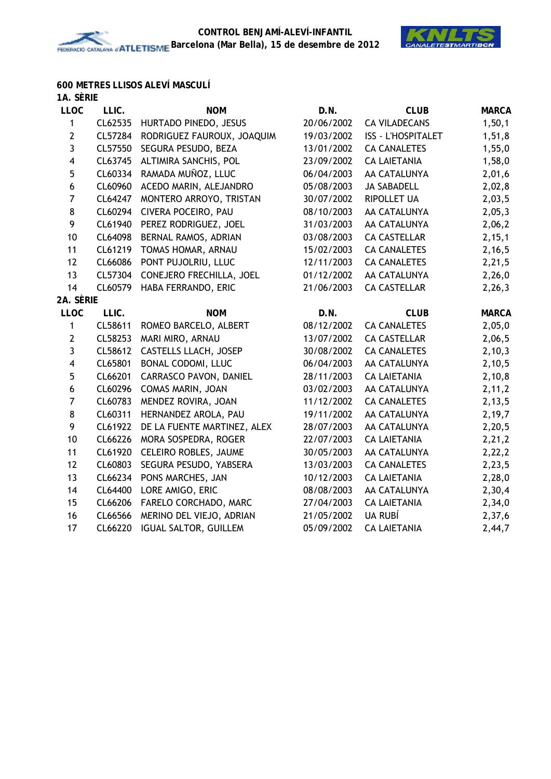

# **600 METRES LLISOS ALEVÍ MASCULÍ**

| 1A. SÈRIE               |         |                             |            |                           |              |
|-------------------------|---------|-----------------------------|------------|---------------------------|--------------|
| <b>LLOC</b>             | LLIC.   | <b>NOM</b>                  | D.N.       | <b>CLUB</b>               | <b>MARCA</b> |
| 1                       | CL62535 | HURTADO PINEDO, JESUS       | 20/06/2002 | <b>CA VILADECANS</b>      | 1, 50, 1     |
| $\overline{2}$          | CL57284 | RODRIGUEZ FAUROUX, JOAQUIM  | 19/03/2002 | <b>ISS - L'HOSPITALET</b> | 1,51,8       |
| 3                       | CL57550 | SEGURA PESUDO, BEZA         | 13/01/2002 | <b>CA CANALETES</b>       | 1,55,0       |
| 4                       | CL63745 | ALTIMIRA SANCHIS, POL       | 23/09/2002 | <b>CA LAIETANIA</b>       | 1,58,0       |
| 5                       | CL60334 | RAMADA MUÑOZ, LLUC          | 06/04/2003 | AA CATALUNYA              | 2,01,6       |
| 6                       | CL60960 | ACEDO MARIN, ALEJANDRO      | 05/08/2003 | <b>JA SABADELL</b>        | 2,02,8       |
| $\overline{7}$          | CL64247 | MONTERO ARROYO, TRISTAN     | 30/07/2002 | <b>RIPOLLET UA</b>        | 2,03,5       |
| 8                       | CL60294 | CIVERA POCEIRO, PAU         | 08/10/2003 | AA CATALUNYA              | 2,05,3       |
| 9                       | CL61940 | PEREZ RODRIGUEZ, JOEL       | 31/03/2003 | AA CATALUNYA              | 2,06,2       |
| 10                      | CL64098 | BERNAL RAMOS, ADRIAN        | 03/08/2003 | <b>CA CASTELLAR</b>       | 2, 15, 1     |
| 11                      | CL61219 | TOMAS HOMAR, ARNAU          | 15/02/2003 | <b>CA CANALETES</b>       | 2,16,5       |
| 12                      | CL66086 | PONT PUJOLRIU, LLUC         | 12/11/2003 | <b>CA CANALETES</b>       | 2,21,5       |
| 13                      | CL57304 | CONEJERO FRECHILLA, JOEL    | 01/12/2002 | AA CATALUNYA              | 2,26,0       |
| 14                      | CL60579 | HABA FERRANDO, ERIC         | 21/06/2003 | <b>CA CASTELLAR</b>       | 2,26,3       |
| 2A. SÈRIE               |         |                             |            |                           |              |
| <b>LLOC</b>             | LLIC.   | <b>NOM</b>                  | D.N.       | <b>CLUB</b>               | <b>MARCA</b> |
| 1                       | CL58611 | ROMEO BARCELO, ALBERT       | 08/12/2002 | <b>CA CANALETES</b>       | 2,05,0       |
| $\mathbf{2}$            | CL58253 | MARI MIRO, ARNAU            | 13/07/2002 | <b>CA CASTELLAR</b>       | 2,06,5       |
| 3                       | CL58612 | CASTELLS LLACH, JOSEP       | 30/08/2002 | <b>CA CANALETES</b>       | 2, 10, 3     |
| $\overline{\mathbf{4}}$ | CL65801 | BONAL CODOMI, LLUC          | 06/04/2003 | AA CATALUNYA              | 2,10,5       |
| 5                       | CL66201 | CARRASCO PAVON, DANIEL      | 28/11/2003 | <b>CA LAIETANIA</b>       | 2,10,8       |
| $\boldsymbol{6}$        | CL60296 | COMAS MARIN, JOAN           | 03/02/2003 | AA CATALUNYA              | 2, 11, 2     |
| $\overline{7}$          | CL60783 | MENDEZ ROVIRA, JOAN         | 11/12/2002 | <b>CA CANALETES</b>       | 2,13,5       |
| 8                       | CL60311 | HERNANDEZ AROLA, PAU        | 19/11/2002 | AA CATALUNYA              | 2,19,7       |
| 9                       | CL61922 | DE LA FUENTE MARTINEZ, ALEX | 28/07/2003 | AA CATALUNYA              | 2,20,5       |
| 10                      | CL66226 | MORA SOSPEDRA, ROGER        | 22/07/2003 | <b>CA LAIETANIA</b>       | 2, 21, 2     |
| 11                      | CL61920 | CELEIRO ROBLES, JAUME       | 30/05/2003 | AA CATALUNYA              | 2,22,2       |
| 12                      | CL60803 | SEGURA PESUDO, YABSERA      | 13/03/2003 | <b>CA CANALETES</b>       | 2,23,5       |
| 13                      | CL66234 | PONS MARCHES, JAN           | 10/12/2003 | <b>CA LAIETANIA</b>       | 2,28,0       |
| 14                      | CL64400 | LORE AMIGO, ERIC            | 08/08/2003 | AA CATALUNYA              | 2,30,4       |
| 15                      | CL66206 | FARELO CORCHADO, MARC       | 27/04/2003 | <b>CA LAIETANIA</b>       | 2,34,0       |
| 16                      | CL66566 | MERINO DEL VIEJO, ADRIAN    | 21/05/2002 | UA RUBÍ                   | 2,37,6       |
| 17                      | CL66220 | IGUAL SALTOR, GUILLEM       | 05/09/2002 | <b>CA LAIETANIA</b>       | 2,44,7       |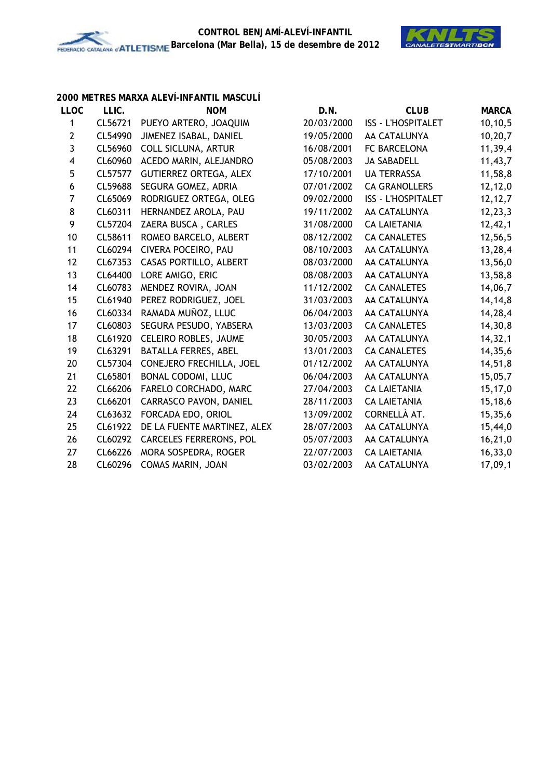

### **2000 METRES MARXA ALEVÍ-INFANTIL MASCULÍ**

| LLIC.   | <b>NOM</b>                    | D.N.                  | <b>CLUB</b>               | <b>MARCA</b> |
|---------|-------------------------------|-----------------------|---------------------------|--------------|
| CL56721 | PUEYO ARTERO, JOAQUIM         | 20/03/2000            | <b>ISS - L'HOSPITALET</b> | 10, 10, 5    |
| CL54990 | JIMENEZ ISABAL, DANIEL        | 19/05/2000            | AA CATALUNYA              | 10,20,7      |
| CL56960 | <b>COLL SICLUNA, ARTUR</b>    | 16/08/2001            | FC BARCELONA              | 11,39,4      |
| CL60960 | ACEDO MARIN, ALEJANDRO        | 05/08/2003            | <b>JA SABADELL</b>        | 11,43,7      |
| CL57577 | <b>GUTIERREZ ORTEGA, ALEX</b> | 17/10/2001            | <b>UA TERRASSA</b>        | 11,58,8      |
| CL59688 | SEGURA GOMEZ, ADRIA           | 07/01/2002            | <b>CA GRANOLLERS</b>      | 12,12,0      |
| CL65069 | RODRIGUEZ ORTEGA, OLEG        | 09/02/2000            | <b>ISS - L'HOSPITALET</b> | 12, 12, 7    |
| CL60311 | HERNANDEZ AROLA, PAU          | 19/11/2002            | AA CATALUNYA              | 12, 23, 3    |
| CL57204 | ZAERA BUSCA, CARLES           | 31/08/2000            | <b>CA LAIETANIA</b>       | 12,42,1      |
| CL58611 | ROMEO BARCELO, ALBERT         | 08/12/2002            | <b>CA CANALETES</b>       | 12,56,5      |
| CL60294 | CIVERA POCEIRO, PAU           | 08/10/2003            | AA CATALUNYA              | 13,28,4      |
| CL67353 | CASAS PORTILLO, ALBERT        | 08/03/2000            | AA CATALUNYA              | 13,56,0      |
| CL64400 | LORE AMIGO, ERIC              | 08/08/2003            | AA CATALUNYA              | 13,58,8      |
| CL60783 | MENDEZ ROVIRA, JOAN           | 11/12/2002            | <b>CA CANALETES</b>       | 14,06,7      |
| CL61940 | PEREZ RODRIGUEZ, JOEL         | 31/03/2003            | AA CATALUNYA              | 14, 14, 8    |
| CL60334 | RAMADA MUÑOZ, LLUC            | 06/04/2003            | AA CATALUNYA              | 14,28,4      |
| CL60803 | SEGURA PESUDO, YABSERA        | 13/03/2003            | <b>CA CANALETES</b>       | 14,30,8      |
| CL61920 | CELEIRO ROBLES, JAUME         | 30/05/2003            | AA CATALUNYA              | 14, 32, 1    |
| CL63291 | BATALLA FERRES, ABEL          | 13/01/2003            | <b>CA CANALETES</b>       | 14,35,6      |
| CL57304 | CONEJERO FRECHILLA, JOEL      | 01/12/2002            | AA CATALUNYA              | 14,51,8      |
| CL65801 | BONAL CODOMI, LLUC            | 06/04/2003            | AA CATALUNYA              | 15,05,7      |
| CL66206 |                               | 27/04/2003            | <b>CA LAIETANIA</b>       | 15,17,0      |
| CL66201 | <b>CARRASCO PAVON, DANIEL</b> | 28/11/2003            | <b>CA LAIETANIA</b>       | 15,18,6      |
| CL63632 | FORCADA EDO, ORIOL            | 13/09/2002            | CORNELLÀ AT.              | 15,35,6      |
| CL61922 | DE LA FUENTE MARTINEZ, ALEX   | 28/07/2003            | AA CATALUNYA              | 15,44,0      |
| CL60292 | CARCELES FERRERONS, POL       | 05/07/2003            | AA CATALUNYA              | 16, 21, 0    |
| CL66226 | MORA SOSPEDRA, ROGER          | 22/07/2003            | <b>CA LAIETANIA</b>       | 16, 33, 0    |
| CL60296 | COMAS MARIN, JOAN             | 03/02/2003            | AA CATALUNYA              | 17,09,1      |
|         |                               | FARELO CORCHADO, MARC |                           |              |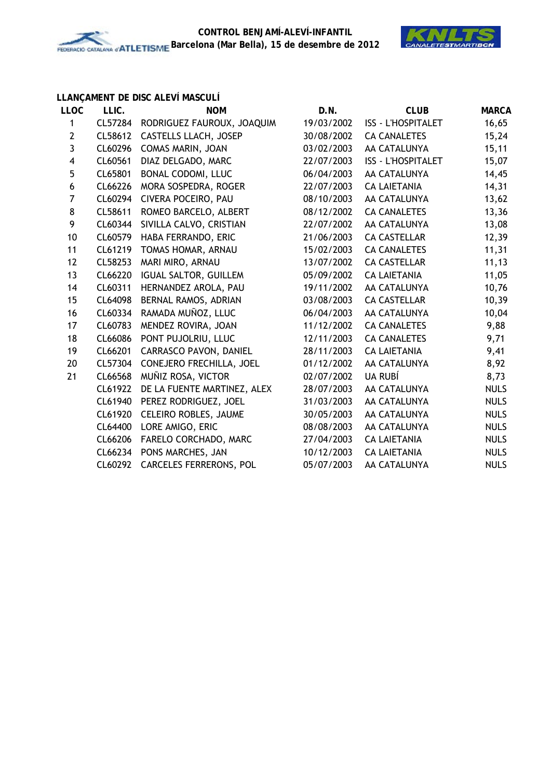

# **LLANÇAMENT DE DISC ALEVÍ MASCULÍ**

| <b>LLOC</b>             | LLIC.   | <b>NOM</b>                   | D.N.       | <b>CLUB</b>               | <b>MARCA</b> |
|-------------------------|---------|------------------------------|------------|---------------------------|--------------|
| 1                       | CL57284 | RODRIGUEZ FAUROUX, JOAQUIM   | 19/03/2002 | <b>ISS - L'HOSPITALET</b> | 16,65        |
| $\mathbf{2}$            | CL58612 | CASTELLS LLACH, JOSEP        | 30/08/2002 | <b>CA CANALETES</b>       | 15,24        |
| 3                       | CL60296 | COMAS MARIN, JOAN            | 03/02/2003 | AA CATALUNYA              | 15,11        |
| $\overline{\mathbf{4}}$ | CL60561 | DIAZ DELGADO, MARC           | 22/07/2003 | <b>ISS - L'HOSPITALET</b> | 15,07        |
| 5                       | CL65801 | <b>BONAL CODOMI, LLUC</b>    | 06/04/2003 | AA CATALUNYA              | 14,45        |
| $\boldsymbol{6}$        | CL66226 | MORA SOSPEDRA, ROGER         | 22/07/2003 | <b>CA LAIETANIA</b>       | 14,31        |
| $\overline{7}$          | CL60294 | CIVERA POCEIRO, PAU          | 08/10/2003 | AA CATALUNYA              | 13,62        |
| 8                       | CL58611 | ROMEO BARCELO, ALBERT        | 08/12/2002 | <b>CA CANALETES</b>       | 13,36        |
| 9                       | CL60344 | SIVILLA CALVO, CRISTIAN      | 22/07/2002 | AA CATALUNYA              | 13,08        |
| 10                      | CL60579 | HABA FERRANDO, ERIC          | 21/06/2003 | <b>CA CASTELLAR</b>       | 12,39        |
| 11                      | CL61219 | TOMAS HOMAR, ARNAU           | 15/02/2003 | <b>CA CANALETES</b>       | 11,31        |
| 12                      | CL58253 | MARI MIRO, ARNAU             | 13/07/2002 | <b>CA CASTELLAR</b>       | 11, 13       |
| 13                      | CL66220 | <b>IGUAL SALTOR, GUILLEM</b> | 05/09/2002 | <b>CA LAIETANIA</b>       | 11,05        |
| 14                      | CL60311 | HERNANDEZ AROLA, PAU         | 19/11/2002 | AA CATALUNYA              | 10,76        |
| 15                      | CL64098 | BERNAL RAMOS, ADRIAN         | 03/08/2003 | <b>CA CASTELLAR</b>       | 10,39        |
| 16                      | CL60334 | RAMADA MUÑOZ, LLUC           | 06/04/2003 | AA CATALUNYA              | 10,04        |
| 17                      | CL60783 | MENDEZ ROVIRA, JOAN          | 11/12/2002 | <b>CA CANALETES</b>       | 9,88         |
| 18                      | CL66086 | PONT PUJOLRIU, LLUC          | 12/11/2003 | <b>CA CANALETES</b>       | 9,71         |
| 19                      | CL66201 | CARRASCO PAVON, DANIEL       | 28/11/2003 | <b>CA LAIETANIA</b>       | 9,41         |
| 20                      | CL57304 | CONEJERO FRECHILLA, JOEL     | 01/12/2002 | AA CATALUNYA              | 8,92         |
| 21                      | CL66568 | MUÑIZ ROSA, VICTOR           | 02/07/2002 | UA RUBÍ                   | 8,73         |
|                         | CL61922 | DE LA FUENTE MARTINEZ, ALEX  | 28/07/2003 | AA CATALUNYA              | <b>NULS</b>  |
|                         | CL61940 | PEREZ RODRIGUEZ, JOEL        | 31/03/2003 | AA CATALUNYA              | <b>NULS</b>  |
|                         | CL61920 | CELEIRO ROBLES, JAUME        | 30/05/2003 | AA CATALUNYA              | <b>NULS</b>  |
|                         | CL64400 | LORE AMIGO, ERIC             | 08/08/2003 | AA CATALUNYA              | <b>NULS</b>  |
|                         | CL66206 | FARELO CORCHADO, MARC        | 27/04/2003 | <b>CA LAIETANIA</b>       | <b>NULS</b>  |
|                         | CL66234 | PONS MARCHES, JAN            | 10/12/2003 | <b>CA LAIETANIA</b>       | <b>NULS</b>  |
|                         | CL60292 | CARCELES FERRERONS, POL      | 05/07/2003 | AA CATALUNYA              | <b>NULS</b>  |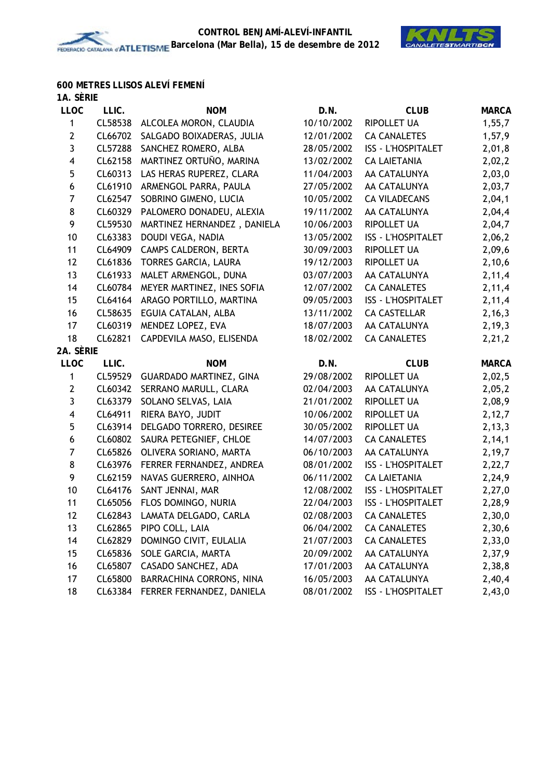

# **600 METRES LLISOS ALEVÍ FEMENÍ**

| 1A. SÈRIE      |         |                                |            |                           |              |
|----------------|---------|--------------------------------|------------|---------------------------|--------------|
| <b>LLOC</b>    | LLIC.   | <b>NOM</b>                     | D.N.       | <b>CLUB</b>               | <b>MARCA</b> |
| 1              | CL58538 | ALCOLEA MORON, CLAUDIA         | 10/10/2002 | RIPOLLET UA               | 1,55,7       |
| $\mathbf{2}$   | CL66702 | SALGADO BOIXADERAS, JULIA      | 12/01/2002 | <b>CA CANALETES</b>       | 1,57,9       |
| 3              | CL57288 | SANCHEZ ROMERO, ALBA           | 28/05/2002 | <b>ISS - L'HOSPITALET</b> | 2,01,8       |
| 4              | CL62158 | MARTINEZ ORTUÑO, MARINA        | 13/02/2002 | <b>CA LAIETANIA</b>       | 2,02,2       |
| 5              | CL60313 | LAS HERAS RUPEREZ, CLARA       | 11/04/2003 | AA CATALUNYA              | 2,03,0       |
| 6              | CL61910 | ARMENGOL PARRA, PAULA          | 27/05/2002 | AA CATALUNYA              | 2,03,7       |
| $\overline{7}$ | CL62547 | SOBRINO GIMENO, LUCIA          | 10/05/2002 | <b>CA VILADECANS</b>      | 2,04,1       |
| 8              | CL60329 | PALOMERO DONADEU, ALEXIA       | 19/11/2002 | AA CATALUNYA              | 2,04,4       |
| 9              | CL59530 | MARTINEZ HERNANDEZ, DANIELA    | 10/06/2003 | <b>RIPOLLET UA</b>        | 2,04,7       |
| 10             | CL63383 | DOUDI VEGA, NADIA              | 13/05/2002 | <b>ISS - L'HOSPITALET</b> | 2,06,2       |
| 11             | CL64909 | CAMPS CALDERON, BERTA          | 30/09/2003 | RIPOLLET UA               | 2,09,6       |
| 12             | CL61836 | TORRES GARCIA, LAURA           | 19/12/2003 | RIPOLLET UA               | 2,10,6       |
| 13             | CL61933 | MALET ARMENGOL, DUNA           | 03/07/2003 | AA CATALUNYA              | 2,11,4       |
| 14             | CL60784 | MEYER MARTINEZ, INES SOFIA     | 12/07/2002 | <b>CA CANALETES</b>       | 2,11,4       |
| 15             | CL64164 | ARAGO PORTILLO, MARTINA        | 09/05/2003 | <b>ISS - L'HOSPITALET</b> | 2,11,4       |
| 16             | CL58635 | EGUIA CATALAN, ALBA            | 13/11/2002 | <b>CA CASTELLAR</b>       | 2, 16, 3     |
| 17             | CL60319 | MENDEZ LOPEZ, EVA              | 18/07/2003 | AA CATALUNYA              | 2, 19, 3     |
| 18             | CL62821 | CAPDEVILA MASO, ELISENDA       | 18/02/2002 | <b>CA CANALETES</b>       | 2,21,2       |
| 2A. Sèrie      |         |                                |            |                           |              |
| <b>LLOC</b>    | LLIC.   | <b>NOM</b>                     | D.N.       | <b>CLUB</b>               | <b>MARCA</b> |
| 1              | CL59529 | <b>GUARDADO MARTINEZ, GINA</b> | 29/08/2002 | <b>RIPOLLET UA</b>        | 2,02,5       |
| $\mathbf{2}$   | CL60342 | SERRANO MARULL, CLARA          | 02/04/2003 | AA CATALUNYA              | 2,05,2       |
| 3              | CL63379 | SOLANO SELVAS, LAIA            | 21/01/2002 | RIPOLLET UA               | 2,08,9       |
| 4              | CL64911 | RIERA BAYO, JUDIT              | 10/06/2002 | RIPOLLET UA               | 2,12,7       |
| 5              | CL63914 | DELGADO TORRERO, DESIREE       | 30/05/2002 | RIPOLLET UA               | 2, 13, 3     |
| 6              | CL60802 | SAURA PETEGNIEF, CHLOE         | 14/07/2003 | <b>CA CANALETES</b>       | 2, 14, 1     |
| $\overline{7}$ | CL65826 | OLIVERA SORIANO, MARTA         | 06/10/2003 | AA CATALUNYA              | 2,19,7       |
| 8              | CL63976 | FERRER FERNANDEZ, ANDREA       | 08/01/2002 | <b>ISS - L'HOSPITALET</b> | 2,22,7       |
| 9              | CL62159 | NAVAS GUERRERO, AINHOA         | 06/11/2002 | <b>CA LAIETANIA</b>       | 2,24,9       |
| 10             | CL64176 | SANT JENNAI, MAR               | 12/08/2002 | <b>ISS - L'HOSPITALET</b> | 2,27,0       |
| 11             | CL65056 | FLOS DOMINGO, NURIA            | 22/04/2003 | <b>ISS - L'HOSPITALET</b> | 2,28,9       |
| 12             | CL62843 | LAMATA DELGADO, CARLA          | 02/08/2003 | <b>CA CANALETES</b>       | 2,30,0       |
| 13             | CL62865 | PIPO COLL, LAIA                | 06/04/2002 | <b>CA CANALETES</b>       | 2,30,6       |
| 14             | CL62829 | DOMINGO CIVIT, EULALIA         | 21/07/2003 | <b>CA CANALETES</b>       | 2,33,0       |
| 15             | CL65836 | SOLE GARCIA, MARTA             | 20/09/2002 | AA CATALUNYA              | 2,37,9       |
| 16             | CL65807 | CASADO SANCHEZ, ADA            | 17/01/2003 | AA CATALUNYA              | 2,38,8       |
| 17             | CL65800 | BARRACHINA CORRONS, NINA       | 16/05/2003 | AA CATALUNYA              | 2,40,4       |
| 18             | CL63384 | FERRER FERNANDEZ, DANIELA      | 08/01/2002 | <b>ISS - L'HOSPITALET</b> | 2,43,0       |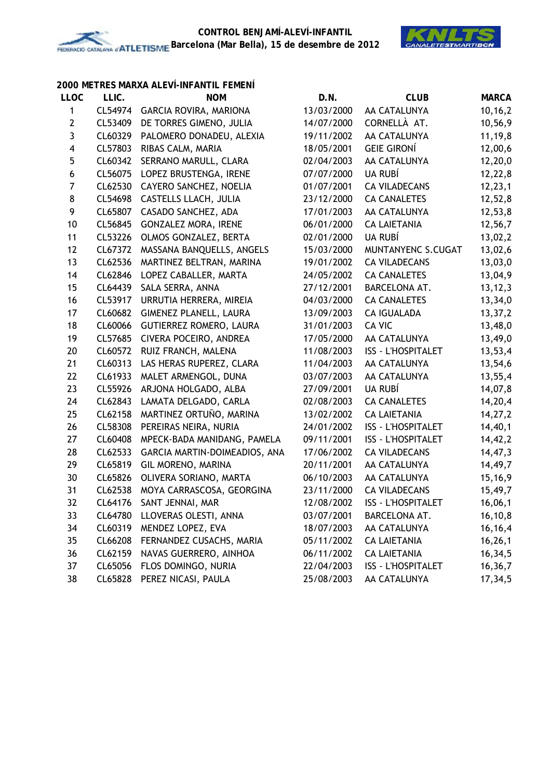

## **2000 METRES MARXA ALEVÍ-INFANTIL FEMENÍ**

| <b>LLOC</b>             | LLIC.   | <b>NOM</b>                    | D.N.       | <b>CLUB</b>               | <b>MARCA</b> |
|-------------------------|---------|-------------------------------|------------|---------------------------|--------------|
| 1                       | CL54974 | GARCIA ROVIRA, MARIONA        | 13/03/2000 | AA CATALUNYA              | 10, 16, 2    |
| $\mathbf{2}$            | CL53409 | DE TORRES GIMENO, JULIA       | 14/07/2000 | CORNELLÀ AT.              | 10,56,9      |
| 3                       | CL60329 | PALOMERO DONADEU, ALEXIA      | 19/11/2002 | AA CATALUNYA              | 11, 19, 8    |
| $\overline{\mathbf{4}}$ | CL57803 | RIBAS CALM, MARIA             | 18/05/2001 | <b>GEIE GIRONÍ</b>        | 12,00,6      |
| 5                       | CL60342 | SERRANO MARULL, CLARA         | 02/04/2003 | AA CATALUNYA              | 12,20,0      |
| 6                       | CL56075 | LOPEZ BRUSTENGA, IRENE        | 07/07/2000 | UA RUBÍ                   | 12,22,8      |
| $\boldsymbol{7}$        | CL62530 | CAYERO SANCHEZ, NOELIA        | 01/07/2001 | <b>CA VILADECANS</b>      | 12, 23, 1    |
| $\bf 8$                 | CL54698 | CASTELLS LLACH, JULIA         | 23/12/2000 | <b>CA CANALETES</b>       | 12,52,8      |
| 9                       | CL65807 | CASADO SANCHEZ, ADA           | 17/01/2003 | AA CATALUNYA              | 12,53,8      |
| 10                      | CL56845 | GONZALEZ MORA, IRENE          | 06/01/2000 | <b>CA LAIETANIA</b>       | 12,56,7      |
| 11                      | CL53226 | OLMOS GONZALEZ, BERTA         | 02/01/2000 | UA RUBÍ                   | 13,02,2      |
| 12                      | CL67372 | MASSANA BANQUELLS, ANGELS     | 15/03/2000 | MUNTANYENC S.CUGAT        | 13,02,6      |
| 13                      | CL62536 | MARTINEZ BELTRAN, MARINA      | 19/01/2002 | <b>CA VILADECANS</b>      | 13,03,0      |
| 14                      | CL62846 | LOPEZ CABALLER, MARTA         | 24/05/2002 | <b>CA CANALETES</b>       | 13,04,9      |
| 15                      | CL64439 | SALA SERRA, ANNA              | 27/12/2001 | BARCELONA AT.             | 13, 12, 3    |
| 16                      | CL53917 | URRUTIA HERRERA, MIREIA       | 04/03/2000 | <b>CA CANALETES</b>       | 13,34,0      |
| 17                      | CL60682 | <b>GIMENEZ PLANELL, LAURA</b> | 13/09/2003 | <b>CA IGUALADA</b>        | 13,37,2      |
| 18                      | CL60066 | GUTIERREZ ROMERO, LAURA       | 31/01/2003 | CA VIC                    | 13,48,0      |
| 19                      | CL57685 | CIVERA POCEIRO, ANDREA        | 17/05/2000 | AA CATALUNYA              | 13,49,0      |
| 20                      | CL60572 | RUIZ FRANCH, MALENA           | 11/08/2003 | <b>ISS - L'HOSPITALET</b> | 13,53,4      |
| 21                      | CL60313 | LAS HERAS RUPEREZ, CLARA      | 11/04/2003 | AA CATALUNYA              | 13,54,6      |
| 22                      | CL61933 | MALET ARMENGOL, DUNA          | 03/07/2003 | AA CATALUNYA              | 13,55,4      |
| 23                      | CL55926 | ARJONA HOLGADO, ALBA          | 27/09/2001 | UA RUBÍ                   | 14,07,8      |
| 24                      | CL62843 | LAMATA DELGADO, CARLA         | 02/08/2003 | <b>CA CANALETES</b>       | 14,20,4      |
| 25                      | CL62158 | MARTINEZ ORTUÑO, MARINA       | 13/02/2002 | <b>CA LAIETANIA</b>       | 14, 27, 2    |
| 26                      | CL58308 | PEREIRAS NEIRA, NURIA         | 24/01/2002 | ISS - L'HOSPITALET        | 14,40,1      |
| 27                      | CL60408 | MPECK-BADA MANIDANG, PAMELA   | 09/11/2001 | ISS - L'HOSPITALET        | 14,42,2      |
| 28                      | CL62533 | GARCIA MARTIN-DOIMEADIOS, ANA | 17/06/2002 | <b>CA VILADECANS</b>      | 14,47,3      |
| 29                      | CL65819 | GIL MORENO, MARINA            | 20/11/2001 | AA CATALUNYA              | 14,49,7      |
| 30                      | CL65826 | OLIVERA SORIANO, MARTA        | 06/10/2003 | AA CATALUNYA              | 15,16,9      |
| 31                      | CL62538 | MOYA CARRASCOSA, GEORGINA     | 23/11/2000 | <b>CA VILADECANS</b>      | 15,49,7      |
| 32                      | CL64176 | SANT JENNAI, MAR              | 12/08/2002 | <b>ISS - L'HOSPITALET</b> | 16,06,1      |
| 33                      | CL64780 | LLOVERAS OLESTI, ANNA         | 03/07/2001 | BARCELONA AT.             | 16, 10, 8    |
| 34                      | CL60319 | MENDEZ LOPEZ, EVA             | 18/07/2003 | AA CATALUNYA              | 16,16,4      |
| 35                      | CL66208 | FERNANDEZ CUSACHS, MARIA      | 05/11/2002 | <b>CA LAIETANIA</b>       | 16, 26, 1    |
| 36                      | CL62159 | NAVAS GUERRERO, AINHOA        | 06/11/2002 | <b>CA LAIETANIA</b>       | 16,34,5      |
| 37                      | CL65056 | FLOS DOMINGO, NURIA           | 22/04/2003 | <b>ISS - L'HOSPITALET</b> | 16,36,7      |
| 38                      | CL65828 | PEREZ NICASI, PAULA           | 25/08/2003 | AA CATALUNYA              | 17,34,5      |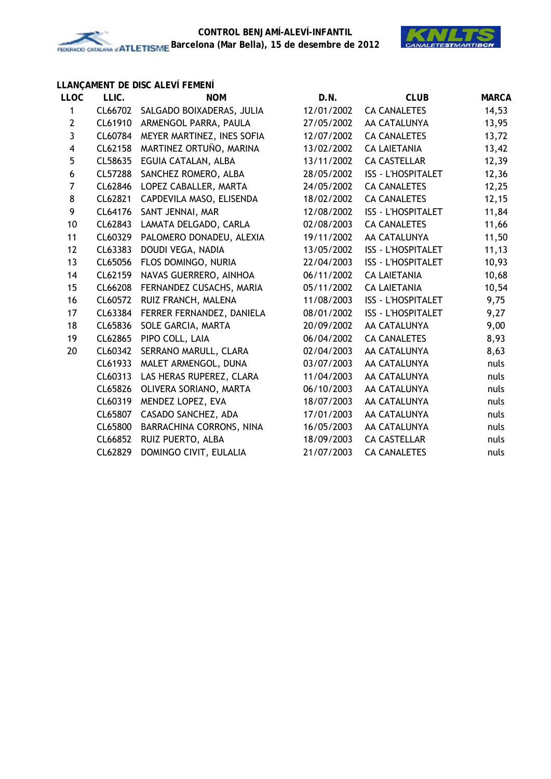

## **LLANÇAMENT DE DISC ALEVÍ FEMENÍ**

| <b>LLOC</b>             | LLIC.   | <b>NOM</b>                         | D.N.       | <b>CLUB</b>               | <b>MARCA</b> |
|-------------------------|---------|------------------------------------|------------|---------------------------|--------------|
| 1                       |         | CL66702 SALGADO BOIXADERAS, JULIA  | 12/01/2002 | <b>CA CANALETES</b>       | 14,53        |
| $\mathbf{2}$            | CL61910 | ARMENGOL PARRA, PAULA              | 27/05/2002 | AA CATALUNYA              | 13,95        |
| 3                       |         | CL60784 MEYER MARTINEZ, INES SOFIA | 12/07/2002 | <b>CA CANALETES</b>       | 13,72        |
| $\overline{\mathbf{4}}$ | CL62158 | MARTINEZ ORTUÑO, MARINA            | 13/02/2002 | <b>CA LAIETANIA</b>       | 13,42        |
| 5                       | CL58635 | EGUIA CATALAN, ALBA                | 13/11/2002 | <b>CA CASTELLAR</b>       | 12,39        |
| 6                       | CL57288 | SANCHEZ ROMERO, ALBA               | 28/05/2002 | <b>ISS - L'HOSPITALET</b> | 12,36        |
| $\overline{7}$          | CL62846 | LOPEZ CABALLER, MARTA              | 24/05/2002 | <b>CA CANALETES</b>       | 12,25        |
| 8                       | CL62821 | CAPDEVILA MASO, ELISENDA           | 18/02/2002 | <b>CA CANALETES</b>       | 12, 15       |
| 9                       | CL64176 | SANT JENNAI, MAR                   | 12/08/2002 | <b>ISS - L'HOSPITALET</b> | 11,84        |
| 10                      | CL62843 | LAMATA DELGADO, CARLA              | 02/08/2003 | <b>CA CANALETES</b>       | 11,66        |
| 11                      | CL60329 | PALOMERO DONADEU, ALEXIA           | 19/11/2002 | AA CATALUNYA              | 11,50        |
| 12                      | CL63383 | DOUDI VEGA, NADIA                  | 13/05/2002 | <b>ISS - L'HOSPITALET</b> | 11, 13       |
| 13                      | CL65056 | FLOS DOMINGO, NURIA                | 22/04/2003 | <b>ISS - L'HOSPITALET</b> | 10,93        |
| 14                      | CL62159 | NAVAS GUERRERO, AINHOA             | 06/11/2002 | <b>CA LAIETANIA</b>       | 10,68        |
| 15                      | CL66208 | FERNANDEZ CUSACHS, MARIA           | 05/11/2002 | <b>CA LAIETANIA</b>       | 10,54        |
| 16                      | CL60572 | RUIZ FRANCH, MALENA                | 11/08/2003 | <b>ISS - L'HOSPITALET</b> | 9,75         |
| 17                      | CL63384 | FERRER FERNANDEZ, DANIELA          | 08/01/2002 | <b>ISS - L'HOSPITALET</b> | 9,27         |
| 18                      | CL65836 | SOLE GARCIA, MARTA                 | 20/09/2002 | AA CATALUNYA              | 9,00         |
| 19                      | CL62865 | PIPO COLL, LAIA                    | 06/04/2002 | <b>CA CANALETES</b>       | 8,93         |
| 20                      | CL60342 | SERRANO MARULL, CLARA              | 02/04/2003 | AA CATALUNYA              | 8,63         |
|                         | CL61933 | MALET ARMENGOL, DUNA               | 03/07/2003 | AA CATALUNYA              | nuls         |
|                         | CL60313 | LAS HERAS RUPEREZ, CLARA           | 11/04/2003 | AA CATALUNYA              | nuls         |
|                         | CL65826 | OLIVERA SORIANO, MARTA             | 06/10/2003 | AA CATALUNYA              | nuls         |
|                         | CL60319 | MENDEZ LOPEZ, EVA                  | 18/07/2003 | AA CATALUNYA              | nuls         |
|                         | CL65807 | CASADO SANCHEZ, ADA                | 17/01/2003 | AA CATALUNYA              | nuls         |
|                         | CL65800 | BARRACHINA CORRONS, NINA           | 16/05/2003 | AA CATALUNYA              | nuls         |
|                         | CL66852 | RUIZ PUERTO, ALBA                  | 18/09/2003 | <b>CA CASTELLAR</b>       | nuls         |
|                         | CL62829 | DOMINGO CIVIT, EULALIA             | 21/07/2003 | <b>CA CANALETES</b>       | nuls         |
|                         |         |                                    |            |                           |              |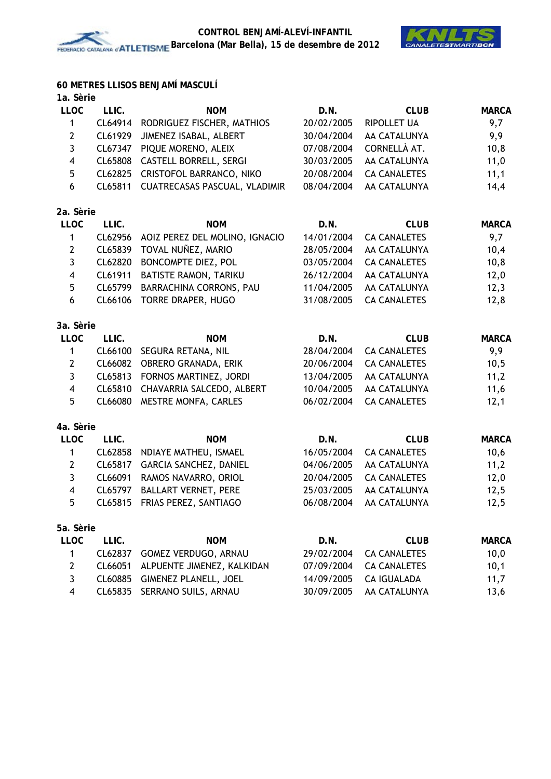

## **60 METRES LLISOS BENJAMÍ MASCULÍ**

| <b>LLOC</b>             | LLIC.   | <b>NOM</b>                     | D.N.       | <b>CLUB</b>         | <b>MARCA</b> |
|-------------------------|---------|--------------------------------|------------|---------------------|--------------|
| 1                       | CL64914 | RODRIGUEZ FISCHER, MATHIOS     | 20/02/2005 | <b>RIPOLLET UA</b>  | 9,7          |
| $\mathbf{2}$            | CL61929 | JIMENEZ ISABAL, ALBERT         | 30/04/2004 | AA CATALUNYA        | 9,9          |
| 3                       | CL67347 | PIQUE MORENO, ALEIX            | 07/08/2004 | CORNELLÀ AT.        | 10,8         |
| $\overline{\mathbf{4}}$ | CL65808 | <b>CASTELL BORRELL, SERGI</b>  | 30/03/2005 | AA CATALUNYA        | 11,0         |
| 5                       | CL62825 | CRISTOFOL BARRANCO, NIKO       | 20/08/2004 | <b>CA CANALETES</b> | 11,1         |
| 6                       | CL65811 | CUATRECASAS PASCUAL, VLADIMIR  | 08/04/2004 | AA CATALUNYA        | 14,4         |
| 2a. Sèrie               |         |                                |            |                     |              |
| <b>LLOC</b>             | LLIC.   | <b>NOM</b>                     | D.N.       | <b>CLUB</b>         | <b>MARCA</b> |
| 1                       | CL62956 | AOIZ PEREZ DEL MOLINO, IGNACIO | 14/01/2004 | <b>CA CANALETES</b> | 9,7          |
| $\mathbf{2}$            | CL65839 | TOVAL NUÑEZ, MARIO             | 28/05/2004 | AA CATALUNYA        | 10,4         |
| $\mathbf{3}$            | CL62820 | BONCOMPTE DIEZ, POL            | 03/05/2004 | <b>CA CANALETES</b> | 10,8         |
| $\overline{\mathbf{4}}$ | CL61911 | BATISTE RAMON, TARIKU          | 26/12/2004 | AA CATALUNYA        | 12,0         |
| 5                       | CL65799 | BARRACHINA CORRONS, PAU        | 11/04/2005 | AA CATALUNYA        | 12,3         |
| 6                       | CL66106 | TORRE DRAPER, HUGO             | 31/08/2005 | <b>CA CANALETES</b> | 12,8         |
| 3a. Sèrie               |         |                                |            |                     |              |
| <b>LLOC</b>             | LLIC.   | <b>NOM</b>                     | D.N.       | <b>CLUB</b>         | <b>MARCA</b> |
| 1                       | CL66100 | SEGURA RETANA, NIL             | 28/04/2004 | <b>CA CANALETES</b> | 9,9          |
| $\overline{2}$          | CL66082 | OBRERO GRANADA, ERIK           | 20/06/2004 | <b>CA CANALETES</b> | 10,5         |
| 3                       | CL65813 | FORNOS MARTINEZ, JORDI         | 13/04/2005 | AA CATALUNYA        | 11,2         |
| $\overline{\mathbf{4}}$ | CL65810 | CHAVARRIA SALCEDO, ALBERT      | 10/04/2005 | AA CATALUNYA        | 11,6         |
| 5                       | CL66080 | MESTRE MONFA, CARLES           | 06/02/2004 | <b>CA CANALETES</b> | 12,1         |
| 4a. Sèrie               |         |                                |            |                     |              |
| <b>LLOC</b>             | LLIC.   | <b>NOM</b>                     | D.N.       | <b>CLUB</b>         | <b>MARCA</b> |
| 1                       | CL62858 | NDIAYE MATHEU, ISMAEL          | 16/05/2004 | <b>CA CANALETES</b> | 10,6         |
| $\mathbf{2}$            | CL65817 | GARCIA SANCHEZ, DANIEL         | 04/06/2005 | AA CATALUNYA        | 11,2         |
| 3                       | CL66091 | RAMOS NAVARRO, ORIOL           | 20/04/2005 | <b>CA CANALETES</b> | 12,0         |
| $\overline{\mathbf{4}}$ | CL65797 | <b>BALLART VERNET, PERE</b>    | 25/03/2005 | AA CATALUNYA        | 12,5         |
| 5                       | CL65815 | FRIAS PEREZ, SANTIAGO          | 06/08/2004 | AA CATALUNYA        | 12,5         |
| 5a. Sèrie               |         |                                |            |                     |              |
| <b>LLOC</b>             | LLIC.   | <b>NOM</b>                     | D.N.       | <b>CLUB</b>         | <b>MARCA</b> |
| 1                       | CL62837 | GOMEZ VERDUGO, ARNAU           | 29/02/2004 | <b>CA CANALETES</b> | 10,0         |
| $\mathbf{2}$            | CL66051 | ALPUENTE JIMENEZ, KALKIDAN     | 07/09/2004 | <b>CA CANALETES</b> | 10,1         |
| 3                       | CL60885 | <b>GIMENEZ PLANELL, JOEL</b>   | 14/09/2005 | <b>CA IGUALADA</b>  | 11,7         |
| 4                       | CL65835 | SERRANO SUILS, ARNAU           | 30/09/2005 | AA CATALUNYA        | 13,6         |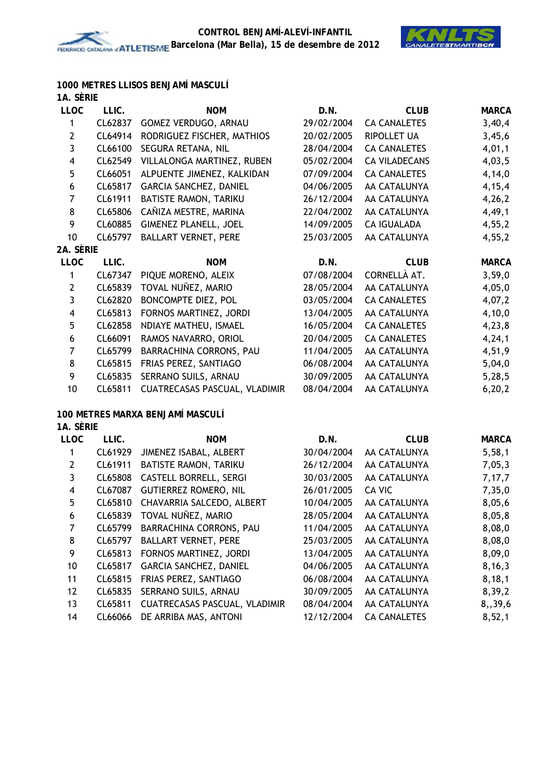

**1000 METRES LLISOS BENJAMÍ MASCULÍ**

| 1A. SERIE |
|-----------|
|           |

| <b>LLOC</b>             | LLIC.   | <b>NOM</b>                       | D.N.       | <b>CLUB</b>          | <b>MARCA</b> |
|-------------------------|---------|----------------------------------|------------|----------------------|--------------|
| 1                       | CL62837 | GOMEZ VERDUGO, ARNAU             | 29/02/2004 | <b>CA CANALETES</b>  | 3,40,4       |
| $\mathbf 2$             | CL64914 | RODRIGUEZ FISCHER, MATHIOS       | 20/02/2005 | <b>RIPOLLET UA</b>   | 3,45,6       |
| $\mathbf{3}$            | CL66100 | SEGURA RETANA, NIL               | 28/04/2004 | <b>CA CANALETES</b>  | 4,01,1       |
| $\overline{\mathbf{4}}$ | CL62549 | VILLALONGA MARTINEZ, RUBEN       | 05/02/2004 | <b>CA VILADECANS</b> | 4,03,5       |
| 5                       | CL66051 | ALPUENTE JIMENEZ, KALKIDAN       | 07/09/2004 | <b>CA CANALETES</b>  | 4,14,0       |
| $\boldsymbol{6}$        | CL65817 | GARCIA SANCHEZ, DANIEL           | 04/06/2005 | AA CATALUNYA         | 4, 15, 4     |
| $\overline{7}$          | CL61911 | BATISTE RAMON, TARIKU            | 26/12/2004 | AA CATALUNYA         | 4,26,2       |
| 8                       | CL65806 | CAÑIZA MESTRE, MARINA            | 22/04/2002 | AA CATALUNYA         | 4,49,1       |
| 9                       | CL60885 | <b>GIMENEZ PLANELL, JOEL</b>     | 14/09/2005 | <b>CA IGUALADA</b>   | 4,55,2       |
| 10                      | CL65797 | <b>BALLART VERNET, PERE</b>      | 25/03/2005 | AA CATALUNYA         | 4, 55, 2     |
| 2A. SÈRIE               |         |                                  |            |                      |              |
| <b>LLOC</b>             | LLIC.   | <b>NOM</b>                       | D.N.       | <b>CLUB</b>          | <b>MARCA</b> |
| 1                       | CL67347 | PIQUE MORENO, ALEIX              | 07/08/2004 | CORNELLÀ AT.         | 3,59,0       |
| $\mathbf{2}$            | CL65839 | TOVAL NUÑEZ, MARIO               | 28/05/2004 | AA CATALUNYA         | 4,05,0       |
| 3                       | CL62820 | BONCOMPTE DIEZ, POL              | 03/05/2004 | <b>CA CANALETES</b>  | 4,07,2       |
| $\overline{\mathbf{4}}$ | CL65813 | FORNOS MARTINEZ, JORDI           | 13/04/2005 | AA CATALUNYA         | 4,10,0       |
| 5                       | CL62858 | NDIAYE MATHEU, ISMAEL            | 16/05/2004 | <b>CA CANALETES</b>  | 4,23,8       |
| 6                       | CL66091 | RAMOS NAVARRO, ORIOL             | 20/04/2005 | <b>CA CANALETES</b>  | 4, 24, 1     |
| $\overline{7}$          | CL65799 | BARRACHINA CORRONS, PAU          | 11/04/2005 | AA CATALUNYA         | 4,51,9       |
| 8                       | CL65815 | FRIAS PEREZ, SANTIAGO            | 06/08/2004 | AA CATALUNYA         | 5,04,0       |
| 9                       | CL65835 | SERRANO SUILS, ARNAU             | 30/09/2005 | AA CATALUNYA         | 5,28,5       |
| 10                      | CL65811 | CUATRECASAS PASCUAL, VLADIMIR    | 08/04/2004 | AA CATALUNYA         | 6, 20, 2     |
|                         |         | 100 METRES MARXA BENJAMÍ MASCULÍ |            |                      |              |
| 1A. SÈRIE               |         |                                  |            |                      |              |
| <b>LLOC</b>             | LLIC.   | <b>NOM</b>                       | D.N.       | <b>CLUB</b>          | <b>MARCA</b> |
| $\mathbf 1$             | CL61929 | JIMENEZ ISABAL, ALBERT           | 30/04/2004 | AA CATALUNYA         | 5,58,1       |
| $\mathbf{2}$            | CL61911 | BATISTE RAMON, TARIKU            | 26/12/2004 | AA CATALUNYA         | 7,05,3       |
| $\mathfrak{Z}$          | CL65808 | <b>CASTELL BORRELL, SERGI</b>    | 30/03/2005 | AA CATALUNYA         | 7,17,7       |
| $\overline{\mathbf{4}}$ | CL67087 | <b>GUTIERREZ ROMERO, NIL</b>     | 26/01/2005 | CA VIC               | 7,35,0       |
| 5                       | CL65810 | CHAVARRIA SALCEDO, ALBERT        | 10/04/2005 | AA CATALUNYA         | 8,05,6       |
| $\boldsymbol{6}$        | CL65839 | TOVAL NUÑEZ, MARIO               | 28/05/2004 | AA CATALUNYA         | 8,05,8       |
| $\boldsymbol{7}$        | CL65799 | BARRACHINA CORRONS, PAU          | 11/04/2005 | AA CATALUNYA         | 8,08,0       |
| 8                       | CL65797 | <b>BALLART VERNET, PERE</b>      | 25/03/2005 | AA CATALUNYA         | 8,08,0       |
| 9                       | CL65813 | FORNOS MARTINEZ, JORDI           | 13/04/2005 | AA CATALUNYA         | 8,09,0       |
| 10                      | CL65817 | GARCIA SANCHEZ, DANIEL           | 04/06/2005 | AA CATALUNYA         | 8,16,3       |

11 CL65815 FRIAS PEREZ, SANTIAGO 06/08/2004 AA CATALUNYA 8,18,1 12 CL65835 SERRANO SUILS, ARNAU 30/09/2005 AA CATALUNYA 8,39,2 13 CL65811 CUATRECASAS PASCUAL, VLADIMIR 08/04/2004 AA CATALUNYA 8,,39,6 14 CL66066 DE ARRIBA MAS, ANTONI 12/12/2004 CA CANALETES 8,52,1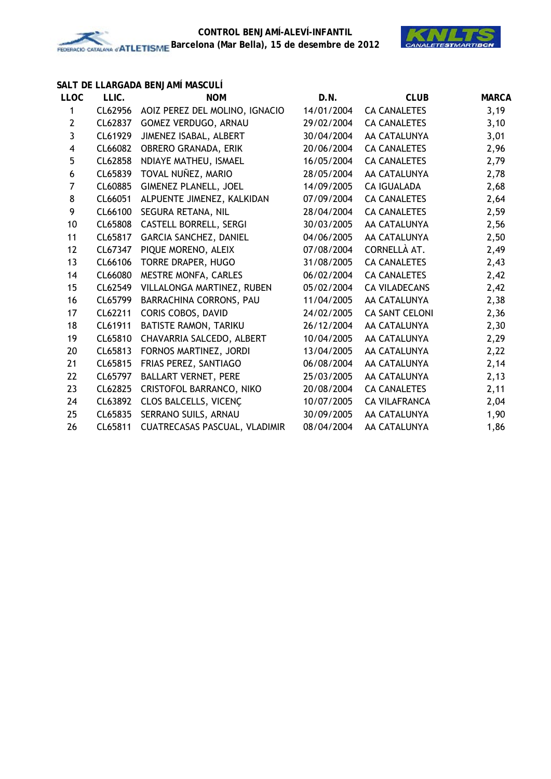

### **SALT DE LLARGADA BENJAMÍ MASCULÍ**

| <b>LLOC</b>      | LLIC.   | <b>NOM</b>                      | D.N.       | <b>CLUB</b>           | <b>MARCA</b> |
|------------------|---------|---------------------------------|------------|-----------------------|--------------|
| 1                | CL62956 | AOIZ PEREZ DEL MOLINO, IGNACIO  | 14/01/2004 | <b>CA CANALETES</b>   | 3,19         |
| $\mathbf{2}$     | CL62837 | GOMEZ VERDUGO, ARNAU            | 29/02/2004 | <b>CA CANALETES</b>   | 3,10         |
| 3                | CL61929 | JIMENEZ ISABAL, ALBERT          | 30/04/2004 | AA CATALUNYA          | 3,01         |
| 4                | CL66082 | OBRERO GRANADA, ERIK            | 20/06/2004 | <b>CA CANALETES</b>   | 2,96         |
| 5                | CL62858 | NDIAYE MATHEU, ISMAEL           | 16/05/2004 | <b>CA CANALETES</b>   | 2,79         |
| $\boldsymbol{6}$ | CL65839 | TOVAL NUÑEZ, MARIO              | 28/05/2004 | AA CATALUNYA          | 2,78         |
| $\overline{7}$   | CL60885 | <b>GIMENEZ PLANELL, JOEL</b>    | 14/09/2005 | <b>CA IGUALADA</b>    | 2,68         |
| $\bf 8$          | CL66051 | ALPUENTE JIMENEZ, KALKIDAN      | 07/09/2004 | <b>CA CANALETES</b>   | 2,64         |
| 9                | CL66100 | SEGURA RETANA, NIL              | 28/04/2004 | <b>CA CANALETES</b>   | 2,59         |
| 10               | CL65808 | <b>CASTELL BORRELL, SERGI</b>   | 30/03/2005 | AA CATALUNYA          | 2,56         |
| 11               | CL65817 | GARCIA SANCHEZ, DANIEL          | 04/06/2005 | AA CATALUNYA          | 2,50         |
| 12               | CL67347 | PIQUE MORENO, ALEIX             | 07/08/2004 | CORNELLÀ AT.          | 2,49         |
| 13               | CL66106 | TORRE DRAPER, HUGO              | 31/08/2005 | <b>CA CANALETES</b>   | 2,43         |
| 14               | CL66080 | MESTRE MONFA, CARLES            | 06/02/2004 | <b>CA CANALETES</b>   | 2,42         |
| 15               | CL62549 | VILLALONGA MARTINEZ, RUBEN      | 05/02/2004 | <b>CA VILADECANS</b>  | 2,42         |
| 16               | CL65799 | BARRACHINA CORRONS, PAU         | 11/04/2005 | AA CATALUNYA          | 2,38         |
| 17               | CL62211 | CORIS COBOS, DAVID              | 24/02/2005 | <b>CA SANT CELONI</b> | 2,36         |
| 18               | CL61911 | BATISTE RAMON, TARIKU           | 26/12/2004 | AA CATALUNYA          | 2,30         |
| 19               | CL65810 | CHAVARRIA SALCEDO, ALBERT       | 10/04/2005 | AA CATALUNYA          | 2,29         |
| 20               | CL65813 | FORNOS MARTINEZ, JORDI          | 13/04/2005 | AA CATALUNYA          | 2,22         |
| 21               | CL65815 | FRIAS PEREZ, SANTIAGO           | 06/08/2004 | AA CATALUNYA          | 2,14         |
| 22               | CL65797 | <b>BALLART VERNET, PERE</b>     | 25/03/2005 | AA CATALUNYA          | 2,13         |
| 23               | CL62825 | <b>CRISTOFOL BARRANCO, NIKO</b> | 20/08/2004 | <b>CA CANALETES</b>   | 2,11         |
| 24               | CL63892 | CLOS BALCELLS, VICENÇ           | 10/07/2005 | <b>CA VILAFRANCA</b>  | 2,04         |
| 25               | CL65835 | SERRANO SUILS, ARNAU            | 30/09/2005 | AA CATALUNYA          | 1,90         |
| 26               | CL65811 | CUATRECASAS PASCUAL, VLADIMIR   | 08/04/2004 | AA CATALUNYA          | 1,86         |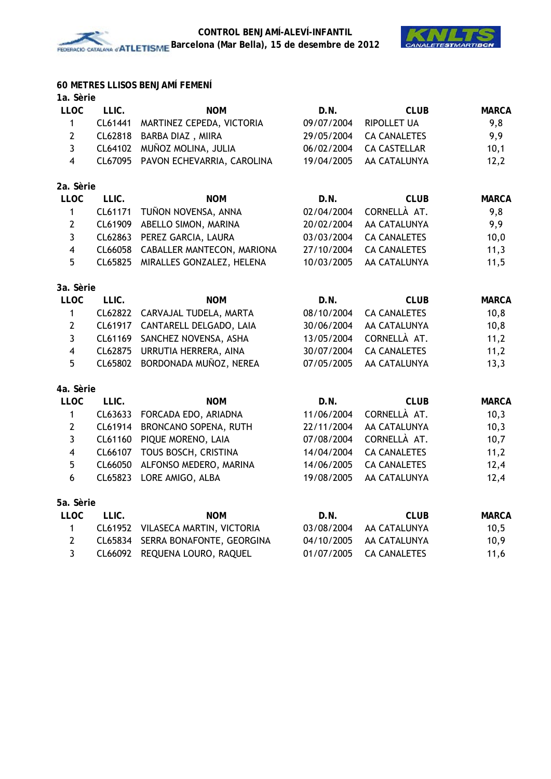

## **60 METRES LLISOS BENJAMÍ FEMENÍ**

| 1a. Sèrie |  |
|-----------|--|
|           |  |

| <b>LLOC</b>             | LLIC.   | <b>NOM</b>                 | D.N.       | <b>CLUB</b>         | <b>MARCA</b> |
|-------------------------|---------|----------------------------|------------|---------------------|--------------|
| $\mathbf{1}$            | CL61441 | MARTINEZ CEPEDA, VICTORIA  | 09/07/2004 | RIPOLLET UA         | 9,8          |
| $\overline{2}$          | CL62818 | BARBA DIAZ, MIIRA          | 29/05/2004 | <b>CA CANALETES</b> | 9,9          |
| $\mathbf{3}$            | CL64102 | MUÑOZ MOLINA, JULIA        | 06/02/2004 | <b>CA CASTELLAR</b> | 10,1         |
| $\overline{\mathbf{4}}$ | CL67095 | PAVON ECHEVARRIA, CAROLINA | 19/04/2005 | AA CATALUNYA        | 12,2         |
| 2a. Sèrie               |         |                            |            |                     |              |
| <b>LLOC</b>             | LLIC.   | <b>NOM</b>                 | D.N.       | <b>CLUB</b>         | <b>MARCA</b> |
| $\mathbf{1}$            | CL61171 | TUÑON NOVENSA, ANNA        | 02/04/2004 | CORNELLÀ AT.        | 9,8          |
| $\mathbf{2}$            | CL61909 | ABELLO SIMON, MARINA       | 20/02/2004 | AA CATALUNYA        | 9,9          |
| $\mathbf{3}$            | CL62863 | PEREZ GARCIA, LAURA        | 03/03/2004 | <b>CA CANALETES</b> | 10,0         |
| $\overline{\mathbf{4}}$ | CL66058 | CABALLER MANTECON, MARIONA | 27/10/2004 | <b>CA CANALETES</b> | 11,3         |
| 5                       | CL65825 | MIRALLES GONZALEZ, HELENA  | 10/03/2005 | AA CATALUNYA        | 11,5         |
| 3a. Sèrie               |         |                            |            |                     |              |
| <b>LLOC</b>             | LLIC.   | <b>NOM</b>                 | D.N.       | <b>CLUB</b>         | <b>MARCA</b> |
| $\mathbf{1}$            | CL62822 | CARVAJAL TUDELA, MARTA     | 08/10/2004 | <b>CA CANALETES</b> | 10,8         |
| $\mathbf{2}$            | CL61917 | CANTARELL DELGADO, LAIA    | 30/06/2004 | AA CATALUNYA        | 10,8         |
| $\mathbf{3}$            | CL61169 | SANCHEZ NOVENSA, ASHA      | 13/05/2004 | CORNELLÀ AT.        | 11,2         |
| $\overline{\mathbf{4}}$ | CL62875 | URRUTIA HERRERA, AINA      | 30/07/2004 | <b>CA CANALETES</b> | 11,2         |
| 5                       | CL65802 | BORDONADA MUÑOZ, NEREA     | 07/05/2005 | AA CATALUNYA        | 13,3         |
| 4a. Sèrie               |         |                            |            |                     |              |
| <b>LLOC</b>             | LLIC.   | <b>NOM</b>                 | D.N.       | <b>CLUB</b>         | <b>MARCA</b> |
| $\mathbf{1}$            | CL63633 | FORCADA EDO, ARIADNA       | 11/06/2004 | CORNELLÀ AT.        | 10,3         |
| $\overline{2}$          | CL61914 | BRONCANO SOPENA, RUTH      | 22/11/2004 | AA CATALUNYA        | 10,3         |
| $\mathbf{3}$            | CL61160 | PIQUE MORENO, LAIA         | 07/08/2004 | CORNELLÀ AT.        | 10,7         |
| $\overline{\mathbf{4}}$ | CL66107 | TOUS BOSCH, CRISTINA       | 14/04/2004 | <b>CA CANALETES</b> | 11,2         |
| 5                       | CL66050 | ALFONSO MEDERO, MARINA     | 14/06/2005 | <b>CA CANALETES</b> | 12,4         |
| 6                       | CL65823 | LORE AMIGO, ALBA           | 19/08/2005 | AA CATALUNYA        | 12,4         |
| 5a. Sèrie               |         |                            |            |                     |              |
| <b>LLOC</b>             | LLIC.   | <b>NOM</b>                 | D.N.       | <b>CLUB</b>         | <b>MARCA</b> |
| $\mathbf 1$             | CL61952 | VILASECA MARTIN, VICTORIA  | 03/08/2004 | AA CATALUNYA        | 10,5         |
| $\overline{2}$          | CL65834 | SERRA BONAFONTE, GEORGINA  | 04/10/2005 | AA CATALUNYA        | 10,9         |
| 3                       | CL66092 | REQUENA LOURO, RAQUEL      | 01/07/2005 | <b>CA CANALETES</b> | 11,6         |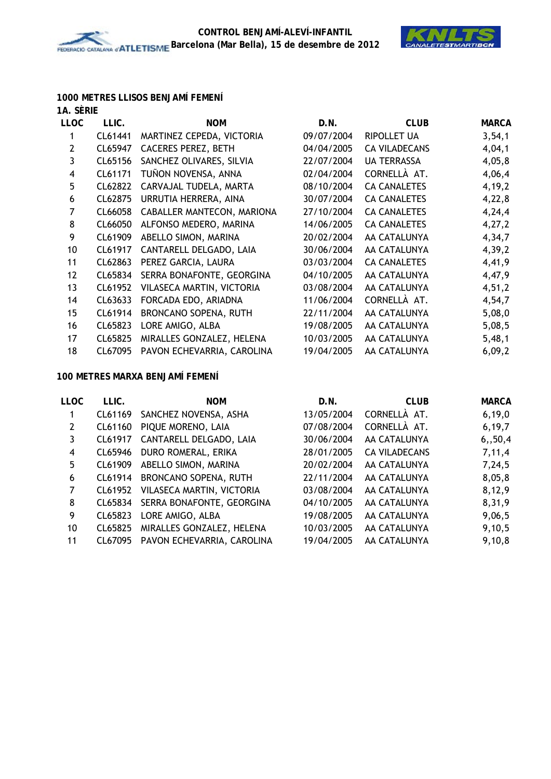

## **1000 METRES LLISOS BENJAMÍ FEMENÍ**

| 1A. SÈRIE      |         |                            |            |                      |              |
|----------------|---------|----------------------------|------------|----------------------|--------------|
| <b>LLOC</b>    | LLIC.   | <b>NOM</b>                 | D.N.       | <b>CLUB</b>          | <b>MARCA</b> |
| 1              | CL61441 | MARTINEZ CEPEDA, VICTORIA  | 09/07/2004 | <b>RIPOLLET UA</b>   | 3,54,1       |
| $\overline{2}$ | CL65947 | <b>CACERES PEREZ, BETH</b> | 04/04/2005 | <b>CA VILADECANS</b> | 4,04,1       |
| 3              | CL65156 | SANCHEZ OLIVARES, SILVIA   | 22/07/2004 | <b>UA TERRASSA</b>   | 4,05,8       |
| 4              | CL61171 | TUÑON NOVENSA, ANNA        | 02/04/2004 | CORNELLÀ AT.         | 4,06,4       |
| 5              | CL62822 | CARVAJAL TUDELA, MARTA     | 08/10/2004 | <b>CA CANALETES</b>  | 4, 19, 2     |
| 6              | CL62875 | URRUTIA HERRERA, AINA      | 30/07/2004 | <b>CA CANALETES</b>  | 4,22,8       |
| 7              | CL66058 | CABALLER MANTECON, MARIONA | 27/10/2004 | <b>CA CANALETES</b>  | 4,24,4       |
| 8              | CL66050 | ALFONSO MEDERO, MARINA     | 14/06/2005 | <b>CA CANALETES</b>  | 4,27,2       |
| 9              | CL61909 | ABELLO SIMON, MARINA       | 20/02/2004 | AA CATALUNYA         | 4,34,7       |
| 10             | CL61917 | CANTARELL DELGADO, LAIA    | 30/06/2004 | AA CATALUNYA         | 4,39,2       |
| 11             | CL62863 | PEREZ GARCIA, LAURA        | 03/03/2004 | <b>CA CANALETES</b>  | 4,41,9       |
| 12             | CL65834 | SERRA BONAFONTE, GEORGINA  | 04/10/2005 | AA CATALUNYA         | 4,47,9       |
| 13             | CL61952 | VILASECA MARTIN, VICTORIA  | 03/08/2004 | AA CATALUNYA         | 4,51,2       |
| 14             | CL63633 | FORCADA EDO, ARIADNA       | 11/06/2004 | CORNELLÀ AT.         | 4,54,7       |
| 15             | CL61914 | BRONCANO SOPENA, RUTH      | 22/11/2004 | AA CATALUNYA         | 5,08,0       |
| 16             | CL65823 | LORE AMIGO, ALBA           | 19/08/2005 | AA CATALUNYA         | 5,08,5       |
| 17             | CL65825 | MIRALLES GONZALEZ, HELENA  | 10/03/2005 | AA CATALUNYA         | 5,48,1       |
| 18             | CL67095 | PAVON ECHEVARRIA, CAROLINA | 19/04/2005 | AA CATALUNYA         | 6,09,2       |

#### **100 METRES MARXA BENJAMÍ FEMENÍ**

| LLIC.   | <b>NOM</b>                   | D.N.                                     | <b>CLUB</b>          | <b>MARCA</b> |
|---------|------------------------------|------------------------------------------|----------------------|--------------|
|         | SANCHEZ NOVENSA, ASHA        | 13/05/2004                               | CORNELLÀ AT.         | 6, 19, 0     |
| CL61160 | PIQUE MORENO, LAIA           | 07/08/2004                               | CORNELLÀ AT.         | 6, 19, 7     |
| CL61917 | CANTARELL DELGADO, LAIA      | 30/06/2004                               | AA CATALUNYA         | 6, 50, 4     |
|         | DURO ROMERAL, ERIKA          | 28/01/2005                               | <b>CA VILADECANS</b> | 7,11,4       |
|         | ABELLO SIMON, MARINA         | 20/02/2004                               | AA CATALUNYA         | 7,24,5       |
|         | <b>BRONCANO SOPENA, RUTH</b> | 22/11/2004                               | AA CATALUNYA         | 8,05,8       |
| CL61952 | VILASECA MARTIN, VICTORIA    | 03/08/2004                               | AA CATALUNYA         | 8,12,9       |
| CL65834 | SERRA BONAFONTE, GEORGINA    | 04/10/2005                               | AA CATALUNYA         | 8,31,9       |
| CL65823 | LORE AMIGO, ALBA             | 19/08/2005                               | AA CATALUNYA         | 9,06,5       |
| CL65825 | MIRALLES GONZALEZ, HELENA    | 10/03/2005                               | AA CATALUNYA         | 9,10,5       |
| CL67095 | PAVON ECHEVARRIA, CAROLINA   | 19/04/2005                               | AA CATALUNYA         | 9,10,8       |
|         |                              | CL61169<br>CL65946<br>CL61909<br>CL61914 |                      |              |